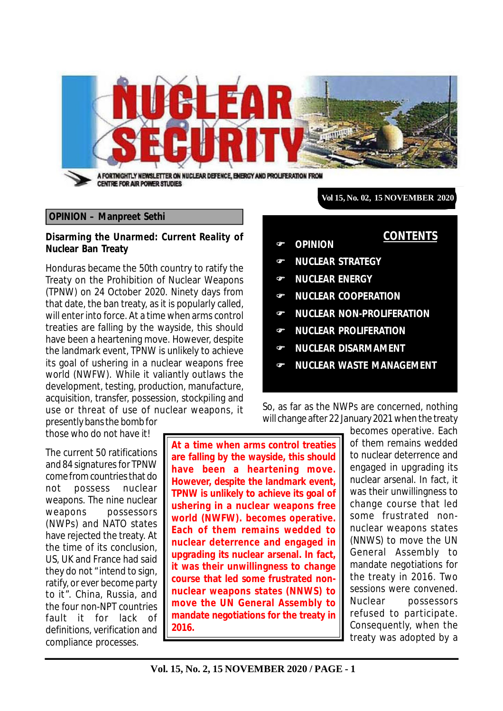

#### **OPINION – Manpreet Sethi**

#### **Disarming the Unarmed: Current Reality of Nuclear Ban Treaty**

Honduras became the 50th country to ratify the Treaty on the Prohibition of Nuclear Weapons (TPNW) on 24 October 2020. Ninety days from that date, the ban treaty, as it is popularly called, will enter into force. At a time when arms control treaties are falling by the wayside, this should have been a heartening move. However, despite the landmark event, TPNW is unlikely to achieve its goal of ushering in a nuclear weapons free world (NWFW). While it valiantly outlaws the development, testing, production, manufacture, acquisition, transfer, possession, stockpiling and use or threat of use of nuclear weapons, it presently bans the bomb for

**Vol 15, No. 02, 15 NOVEMBER 2020**

**CONTENTS**

- **OPINION**
- **NUCLEAR STRATEGY**
- **NUCLEAR ENERGY**
- **NUCLEAR COOPERATION**
- **NUCLEAR NON-PROLIFERATION**
- **NUCLEAR PROLIFERATION**
- **NUCLEAR DISARMAMENT**
- **NUCLEAR WASTE MANAGEMENT**

So, as far as the NWPs are concerned, nothing will change after 22 January 2021 when the treaty

those who do not have it!

The current 50 ratifications and 84 signatures for TPNW come from countries that do not possess nuclear weapons. The nine nuclear weapons possessors (NWPs) and NATO states have rejected the treaty. At the time of its conclusion, US, UK and France had said they do not "intend to sign, ratify, or ever become party to it". China, Russia, and the four non-NPT countries fault it for lack of definitions, verification and compliance processes.

**At a time when arms control treaties are falling by the wayside, this should have been a heartening move. However, despite the landmark event, TPNW is unlikely to achieve its goal of ushering in a nuclear weapons free world (NWFW). becomes operative. Each of them remains wedded to nuclear deterrence and engaged in upgrading its nuclear arsenal. In fact, it was their unwillingness to change course that led some frustrated nonnuclear weapons states (NNWS) to move the UN General Assembly to mandate negotiations for the treaty in 2016.**

becomes operative. Each of them remains wedded to nuclear deterrence and engaged in upgrading its nuclear arsenal. In fact, it was their unwillingness to change course that led some frustrated nonnuclear weapons states (NNWS) to move the UN General Assembly to mandate negotiations for the treaty in 2016. Two sessions were convened. Nuclear possessors refused to participate. Consequently, when the treaty was adopted by a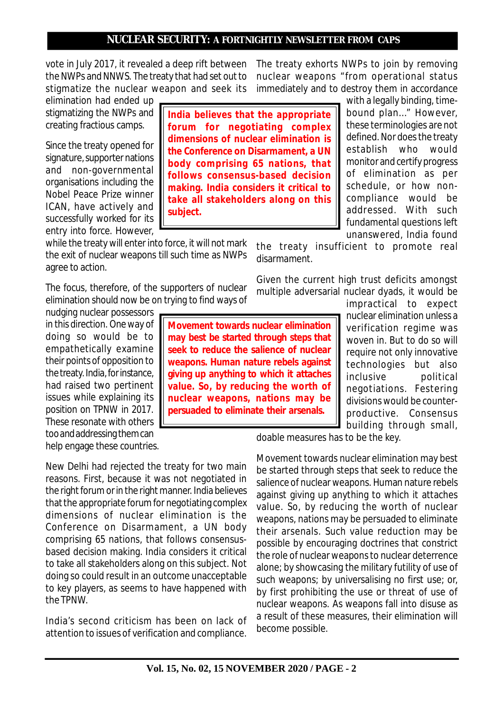vote in July 2017, it revealed a deep rift between the NWPs and NNWS. The treaty that had set out to stigmatize the nuclear weapon and seek its

elimination had ended up stigmatizing the NWPs and creating fractious camps.

Since the treaty opened for signature, supporter nations and non-governmental organisations including the Nobel Peace Prize winner ICAN, have actively and successfully worked for its entry into force. However,

while the treaty will enter into force, it will not mark the exit of nuclear weapons till such time as NWPs agree to action.

The focus, therefore, of the supporters of nuclear elimination should now be on trying to find ways of

nudging nuclear possessors in this direction. One way of doing so would be to empathetically examine their points of opposition to the treaty. India, for instance, had raised two pertinent issues while explaining its position on TPNW in 2017. These resonate with others too and addressing them can help engage these countries.

New Delhi had rejected the treaty for two main reasons. First, because it was not negotiated in the right forum or in the right manner. India believes that the appropriate forum for negotiating complex dimensions of nuclear elimination is the Conference on Disarmament, a UN body comprising 65 nations, that follows consensusbased decision making. India considers it critical to take all stakeholders along on this subject. Not doing so could result in an outcome unacceptable to key players, as seems to have happened with the TPNW.

India's second criticism has been on lack of attention to issues of verification and compliance. The treaty exhorts NWPs to join by removing nuclear weapons "from operational status immediately and to destroy them in accordance

**India believes that the appropriate forum for negotiating complex dimensions of nuclear elimination is the Conference on Disarmament, a UN body comprising 65 nations, that follows consensus-based decision making. India considers it critical to take all stakeholders along on this subject.**

with a legally binding, timebound plan…" However, these terminologies are not defined. Nor does the treaty establish who would monitor and certify progress of elimination as per schedule, or how noncompliance would be addressed. With such fundamental questions left unanswered, India found

the treaty insufficient to promote real disarmament.

Given the current high trust deficits amongst multiple adversarial nuclear dyads, it would be

**Movement towards nuclear elimination may best be started through steps that seek to reduce the salience of nuclear weapons. Human nature rebels against giving up anything to which it attaches value. So, by reducing the worth of nuclear weapons, nations may be persuaded to eliminate their arsenals.**

impractical to expect nuclear elimination unless a verification regime was woven in. But to do so will require not only innovative technologies but also inclusive political negotiations. Festering divisions would be counterproductive. Consensus building through small,

doable measures has to be the key.

Movement towards nuclear elimination may best be started through steps that seek to reduce the salience of nuclear weapons. Human nature rebels against giving up anything to which it attaches value. So, by reducing the worth of nuclear weapons, nations may be persuaded to eliminate their arsenals. Such value reduction may be possible by encouraging doctrines that constrict the role of nuclear weapons to nuclear deterrence alone; by showcasing the military futility of use of such weapons; by universalising no first use; or, by first prohibiting the use or threat of use of nuclear weapons. As weapons fall into disuse as a result of these measures, their elimination will become possible.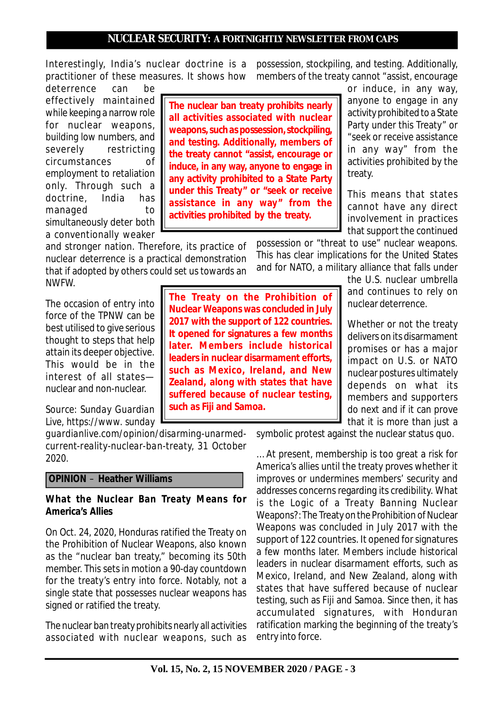Interestingly, India's nuclear doctrine is a practitioner of these measures. It shows how

deterrence can be effectively maintained while keeping a narrow role for nuclear weapons, building low numbers, and severely restricting circumstances of employment to retaliation only. Through such a doctrine, India has managed to simultaneously deter both a conventionally weaker

and stronger nation. Therefore, its practice of nuclear deterrence is a practical demonstration that if adopted by others could set us towards an NWFW.

The occasion of entry into force of the TPNW can be best utilised to give serious thought to steps that help attain its deeper objective. This would be in the interest of all states nuclear and non-nuclear.

*Source: Sunday Guardian Live, https://www. sunday*

*guardianlive.com/opinion/disarming-unarmedcurrent-reality-nuclear-ban-treaty, 31 October 2020.*

### **OPINION** – **Heather Williams**

#### **What the Nuclear Ban Treaty Means for America's Allies**

On Oct. 24, 2020, Honduras ratified the Treaty on the Prohibition of Nuclear Weapons, also known as the "nuclear ban treaty," becoming its 50th member. This sets in motion a 90-day countdown for the treaty's entry into force. Notably, not a single state that possesses nuclear weapons has signed or ratified the treaty.

The nuclear ban treaty prohibits nearly all activities associated with nuclear weapons, such as

possession, stockpiling, and testing. Additionally, members of the treaty cannot "assist, encourage

**The nuclear ban treaty prohibits nearly all activities associated with nuclear weapons, such as possession, stockpiling, and testing. Additionally, members of the treaty cannot "assist, encourage or induce, in any way, anyone to engage in any activity prohibited to a State Party under this Treaty" or "seek or receive assistance in any way" from the activities prohibited by the treaty.**

or induce, in any way, anyone to engage in any activity prohibited to a State Party under this Treaty" or "seek or receive assistance in any way" from the activities prohibited by the treaty.

This means that states cannot have any direct involvement in practices that support the continued

possession or "threat to use" nuclear weapons. This has clear implications for the United States and for NATO, a military alliance that falls under

> the U.S. nuclear umbrella and continues to rely on nuclear deterrence.

Whether or not the treaty delivers on its disarmament promises or has a major impact on U.S. or NATO nuclear postures ultimately depends on what its members and supporters do next and if it can prove that it is more than just a

symbolic protest against the nuclear status quo.

… At present, membership is too great a risk for America's allies until the treaty proves whether it improves or undermines members' security and addresses concerns regarding its credibility. What is the Logic of a Treaty Banning Nuclear Weapons?: The Treaty on the Prohibition of Nuclear Weapons was concluded in July 2017 with the support of 122 countries. It opened for signatures a few months later. Members include historical leaders in nuclear disarmament efforts, such as Mexico, Ireland, and New Zealand, along with states that have suffered because of nuclear testing, such as Fiji and Samoa. Since then, it has accumulated signatures, with Honduran ratification marking the beginning of the treaty's entry into force.

**The Treaty on the Prohibition of Nuclear Weapons was concluded in July 2017 with the support of 122 countries. It opened for signatures a few months later. Members include historical leaders in nuclear disarmament efforts, such as Mexico, Ireland, and New Zealand, along with states that have suffered because of nuclear testing, such as Fiji and Samoa.**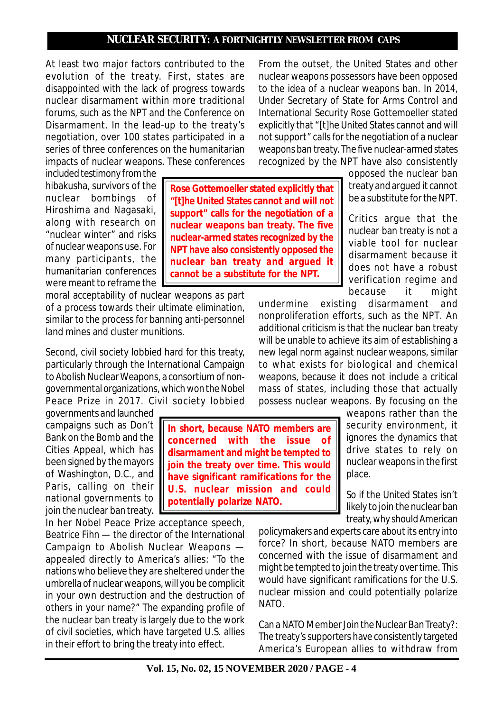At least two major factors contributed to the evolution of the treaty. First, states are disappointed with the lack of progress towards nuclear disarmament within more traditional forums, such as the NPT and the Conference on Disarmament. In the lead-up to the treaty's negotiation, over 100 states participated in a series of three conferences on the humanitarian impacts of nuclear weapons. These conferences

included testimony from the hibakusha, survivors of the nuclear bombings of Hiroshima and Nagasaki, along with research on "nuclear winter" and risks of nuclear weapons use. For many participants, the humanitarian conferences were meant to reframe the

moral acceptability of nuclear weapons as part of a process towards their ultimate elimination, similar to the process for banning anti-personnel land mines and cluster munitions.

Second, civil society lobbied hard for this treaty, particularly through the International Campaign to Abolish Nuclear Weapons, a consortium of nongovernmental organizations, which won the Nobel Peace Prize in 2017. Civil society lobbied

governments and launched campaigns such as Don't Bank on the Bomb and the Cities Appeal, which has been signed by the mayors of Washington, D.C., and Paris, calling on their national governments to join the nuclear ban treaty.

In her Nobel Peace Prize acceptance speech, Beatrice Fihn — the director of the International Campaign to Abolish Nuclear Weapons appealed directly to America's allies: "To the nations who believe they are sheltered under the umbrella of nuclear weapons, will you be complicit in your own destruction and the destruction of others in your name?" The expanding profile of the nuclear ban treaty is largely due to the work of civil societies, which have targeted U.S. allies in their effort to bring the treaty into effect.

From the outset, the United States and other nuclear weapons possessors have been opposed to the idea of a nuclear weapons ban. In 2014, Under Secretary of State for Arms Control and International Security Rose Gottemoeller stated explicitly that "[t]he United States cannot and will not support" calls for the negotiation of a nuclear weapons ban treaty. The five nuclear-armed states recognized by the NPT have also consistently

> opposed the nuclear ban treaty and argued it cannot be a substitute for the NPT.

Critics argue that the nuclear ban treaty is not a viable tool for nuclear disarmament because it does not have a robust verification regime and because it might

undermine existing disarmament and nonproliferation efforts, such as the NPT. An additional criticism is that the nuclear ban treaty will be unable to achieve its aim of establishing a new legal norm against nuclear weapons, similar to what exists for biological and chemical weapons, because it does not include a critical mass of states, including those that actually possess nuclear weapons. By focusing on the

> weapons rather than the security environment, it ignores the dynamics that drive states to rely on nuclear weapons in the first place.

> So if the United States isn't likely to join the nuclear ban treaty, why should American

policymakers and experts care about its entry into force? In short, because NATO members are concerned with the issue of disarmament and might be tempted to join the treaty over time. This would have significant ramifications for the U.S. nuclear mission and could potentially polarize NATO.

Can a NATO Member Join the Nuclear Ban Treaty?: The treaty's supporters have consistently targeted America's European allies to withdraw from

**In short, because NATO members are concerned with the issue of disarmament and might be tempted to join the treaty over time. This would have significant ramifications for the U.S. nuclear mission and could**

**potentially polarize NATO.**

# **"[t]he United States cannot and will not support" calls for the negotiation of a nuclear weapons ban treaty. The five nuclear-armed states recognized by the NPT have also consistently opposed the nuclear ban treaty and argued it cannot be a substitute for the NPT.**

**Rose Gottemoeller stated explicitly that**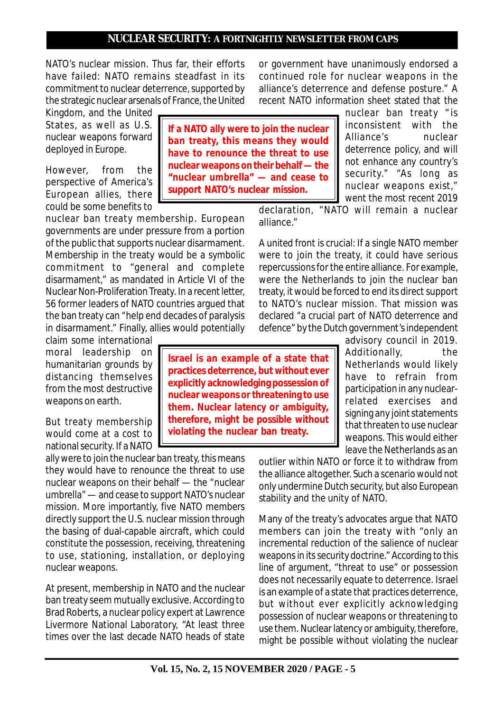NATO's nuclear mission. Thus far, their efforts have failed: NATO remains steadfast in its commitment to nuclear deterrence, supported by the strategic nuclear arsenals of France, the United

Kingdom, and the United States, as well as U.S. nuclear weapons forward deployed in Europe.

However, from the perspective of America's European allies, there could be some benefits to

nuclear ban treaty membership. European governments are under pressure from a portion of the public that supports nuclear disarmament. Membership in the treaty would be a symbolic commitment to "general and complete disarmament," as mandated in Article VI of the Nuclear Non-Proliferation Treaty. In a recent letter, 56 former leaders of NATO countries argued that the ban treaty can "help end decades of paralysis in disarmament." Finally, allies would potentially

claim some international moral leadership on humanitarian grounds by distancing themselves from the most destructive weapons on earth.

But treaty membership would come at a cost to national security. If a NATO

ally were to join the nuclear ban treaty, this means they would have to renounce the threat to use nuclear weapons on their behalf — the "nuclear umbrella" — and cease to support NATO's nuclear mission. More importantly, five NATO members directly support the U.S. nuclear mission through the basing of dual-capable aircraft, which could constitute the possession, receiving, threatening to use, stationing, installation, or deploying nuclear weapons.

At present, membership in NATO and the nuclear ban treaty seem mutually exclusive. According to Brad Roberts, a nuclear policy expert at Lawrence Livermore National Laboratory, "At least three times over the last decade NATO heads of state

**If a NATO ally were to join the nuclear ban treaty, this means they would have to renounce the threat to use nuclear weapons on their behalf — the "nuclear umbrella" — and cease to support NATO's nuclear mission.**

or government have unanimously endorsed a continued role for nuclear weapons in the alliance's deterrence and defense posture." A recent NATO information sheet stated that the

> nuclear ban treaty " is inconsistent with the Alliance's nuclear deterrence policy, and will not enhance any country's security." "As long as nuclear weapons exist," went the most recent 2019

declaration, "NATO will remain a nuclear alliance."

A united front is crucial: If a single NATO member were to join the treaty, it could have serious repercussions for the entire alliance. For example, were the Netherlands to join the nuclear ban treaty, it would be forced to end its direct support to NATO's nuclear mission. That mission was declared "a crucial part of NATO deterrence and defence" by the Dutch government's independent

> advisory council in 2019. Additionally, the Netherlands would likely have to refrain from participation in any nuclearrelated exercises and signing any joint statements that threaten to use nuclear weapons. This would either leave the Netherlands as an

outlier within NATO or force it to withdraw from the alliance altogether. Such a scenario would not only undermine Dutch security, but also European stability and the unity of NATO.

Many of the treaty's advocates argue that NATO members can join the treaty with "only an incremental reduction of the salience of nuclear weapons in its security doctrine." According to this line of argument, "threat to use" or possession does not necessarily equate to deterrence. Israel is an example of a state that practices deterrence, but without ever explicitly acknowledging possession of nuclear weapons or threatening to use them. Nuclear latency or ambiguity, therefore, might be possible without violating the nuclear

**therefore, might be possible without violating the nuclear ban treaty.**

**Israel is an example of a state that practices deterrence, but without ever explicitly acknowledging possession of nuclear weapons or threatening to use them. Nuclear latency or ambiguity,**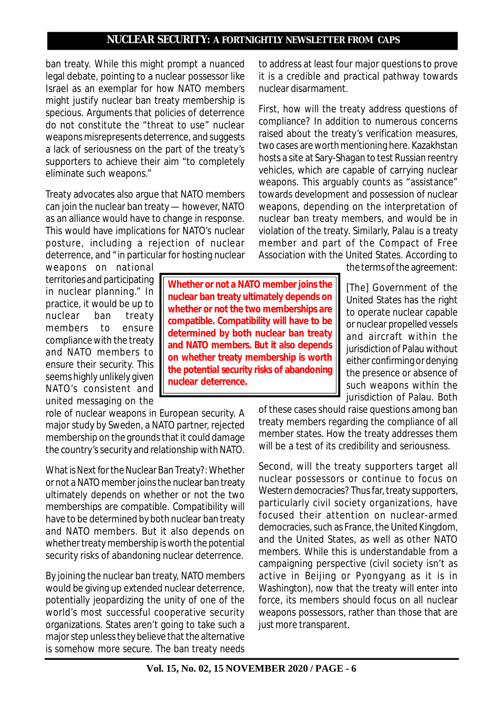ban treaty. While this might prompt a nuanced legal debate, pointing to a nuclear possessor like Israel as an exemplar for how NATO members might justify nuclear ban treaty membership is specious. Arguments that policies of deterrence do not constitute the "threat to use" nuclear weapons misrepresents deterrence, and suggests a lack of seriousness on the part of the treaty's supporters to achieve their aim "to completely eliminate such weapons."

Treaty advocates also argue that NATO members can join the nuclear ban treaty — however, NATO as an alliance would have to change in response. This would have implications for NATO's nuclear posture, including a rejection of nuclear deterrence, and "in particular for hosting nuclear

weapons on national territories and participating in nuclear planning." In practice, it would be up to nuclear ban treaty members to ensure compliance with the treaty and NATO members to ensure their security. This seems highly unlikely given NATO's consistent and united messaging on the

role of nuclear weapons in European security. A major study by Sweden, a NATO partner, rejected membership on the grounds that it could damage the country's security and relationship with NATO.

What is Next for the Nuclear Ban Treaty?: Whether or not a NATO member joins the nuclear ban treaty ultimately depends on whether or not the two memberships are compatible. Compatibility will have to be determined by both nuclear ban treaty and NATO members. But it also depends on whether treaty membership is worth the potential security risks of abandoning nuclear deterrence.

By joining the nuclear ban treaty, NATO members would be giving up extended nuclear deterrence, potentially jeopardizing the unity of one of the world's most successful cooperative security organizations. States aren't going to take such a major step unless they believe that the alternative is somehow more secure. The ban treaty needs

to address at least four major questions to prove it is a credible and practical pathway towards nuclear disarmament.

First, how will the treaty address questions of compliance? In addition to numerous concerns raised about the treaty's verification measures, two cases are worth mentioning here. Kazakhstan hosts a site at Sary-Shagan to test Russian reentry vehicles, which are capable of carrying nuclear weapons. This arguably counts as "assistance" towards development and possession of nuclear weapons, depending on the interpretation of nuclear ban treaty members, and would be in violation of the treaty. Similarly, Palau is a treaty member and part of the Compact of Free Association with the United States. According to

the terms of the agreement:

[The] Government of the United States has the right to operate nuclear capable or nuclear propelled vessels and aircraft within the jurisdiction of Palau without either confirming or denying the presence or absence of such weapons within the jurisdiction of Palau. Both

of these cases should raise questions among ban treaty members regarding the compliance of all member states. How the treaty addresses them will be a test of its credibility and seriousness.

Second, will the treaty supporters target all nuclear possessors or continue to focus on Western democracies? Thus far, treaty supporters, particularly civil society organizations, have focused their attention on nuclear-armed democracies, such as France, the United Kingdom, and the United States, as well as other NATO members. While this is understandable from a campaigning perspective (civil society isn't as active in Beijing or Pyongyang as it is in Washington), now that the treaty will enter into force, its members should focus on all nuclear weapons possessors, rather than those that are just more transparent.

**Whether or not a NATO member joins the nuclear ban treaty ultimately depends on whether or not the two memberships are compatible. Compatibility will have to be determined by both nuclear ban treaty and NATO members. But it also depends on whether treaty membership is worth the potential security risks of abandoning nuclear deterrence.**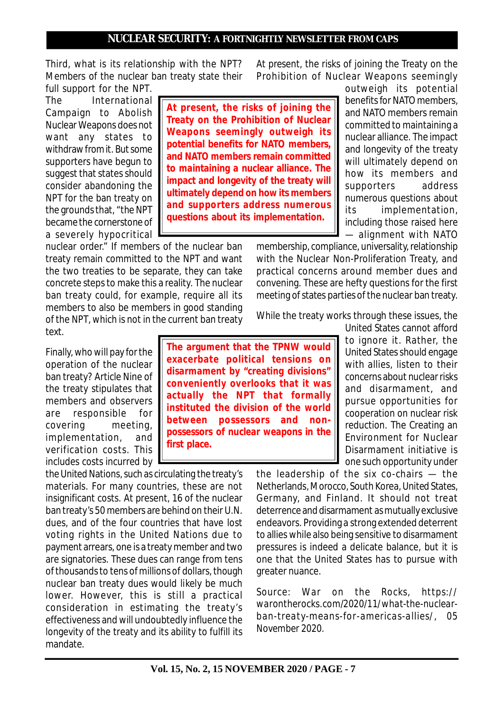Third, what is its relationship with the NPT? Members of the nuclear ban treaty state their full support for the NPT.

The International Campaign to Abolish Nuclear Weapons does not want any states to withdraw from it. But some supporters have begun to suggest that states should consider abandoning the NPT for the ban treaty on the grounds that, "the NPT became the cornerstone of a severely hypocritical

nuclear order." If members of the nuclear ban treaty remain committed to the NPT and want the two treaties to be separate, they can take concrete steps to make this a reality. The nuclear ban treaty could, for example, require all its members to also be members in good standing of the NPT, which is not in the current ban treaty text.

Finally, who will pay for the operation of the nuclear ban treaty? Article Nine of the treaty stipulates that members and observers are responsible for covering meeting, implementation, and verification costs. This includes costs incurred by

the United Nations, such as circulating the treaty's materials. For many countries, these are not insignificant costs. At present, 16 of the nuclear ban treaty's 50 members are behind on their U.N. dues, and of the four countries that have lost voting rights in the United Nations due to payment arrears, one is a treaty member and two are signatories. These dues can range from tens of thousands to tens of millions of dollars, though nuclear ban treaty dues would likely be much lower. However, this is still a practical consideration in estimating the treaty's effectiveness and will undoubtedly influence the longevity of the treaty and its ability to fulfill its mandate.

At present, the risks of joining the Treaty on the Prohibition of Nuclear Weapons seemingly

**At present, the risks of joining the Treaty on the Prohibition of Nuclear Weapons seemingly outweigh its potential benefits for NATO members, and NATO members remain committed to maintaining a nuclear alliance. The impact and longevity of the treaty will ultimately depend on how its members and supporters address numerous questions about its implementation.**

outweigh its potential benefits for NATO members, and NATO members remain committed to maintaining a nuclear alliance. The impact and longevity of the treaty will ultimately depend on how its members and supporters address numerous questions about its implementation, including those raised here — alignment with NATO

membership, compliance, universality, relationship with the Nuclear Non-Proliferation Treaty, and practical concerns around member dues and convening. These are hefty questions for the first meeting of states parties of the nuclear ban treaty.

While the treaty works through these issues, the

**The argument that the TPNW would exacerbate political tensions on disarmament by "creating divisions" conveniently overlooks that it was actually the NPT that formally instituted the division of the world between possessors and nonpossessors of nuclear weapons in the first place.**

United States cannot afford to ignore it. Rather, the United States should engage with allies, listen to their concerns about nuclear risks and disarmament, and pursue opportunities for cooperation on nuclear risk reduction. The Creating an Environment for Nuclear Disarmament initiative is one such opportunity under

the leadership of the six co-chairs — the Netherlands, Morocco, South Korea, United States, Germany, and Finland. It should not treat deterrence and disarmament as mutually exclusive endeavors. Providing a strong extended deterrent to allies while also being sensitive to disarmament pressures is indeed a delicate balance, but it is one that the United States has to pursue with greater nuance.

*Source: War on the Rocks, https:// warontherocks.com/2020/11/what-the-nuclearban-treaty-means-for-americas-allies/, 05 November 2020.*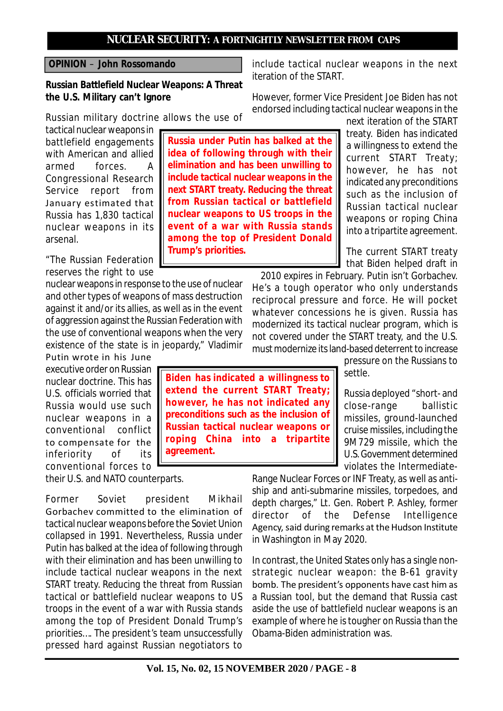# **OPINION** – **John Rossomando**

**Russian Battlefield Nuclear Weapons: A Threat the U.S. Military can't Ignore**

Russian military doctrine allows the use of

tactical nuclear weapons in battlefield engagements with American and allied armed forces. A Congressional Research Service report from January estimated that Russia has 1,830 tactical nuclear weapons in its arsenal.

"The Russian Federation reserves the right to use

nuclear weapons in response to the use of nuclear and other types of weapons of mass destruction against it and/or its allies, as well as in the event of aggression against the Russian Federation with the use of conventional weapons when the very existence of the state is in jeopardy," Vladimir

Putin wrote in his June executive order on Russian nuclear doctrine. This has U.S. officials worried that Russia would use such nuclear weapons in a conventional conflict to compensate for the inferiority of its conventional forces to

their U.S. and NATO counterparts.

Former Soviet president Mikhail Gorbachev committed to the elimination of tactical nuclear weapons before the Soviet Union collapsed in 1991. Nevertheless, Russia under Putin has balked at the idea of following through with their elimination and has been unwilling to include tactical nuclear weapons in the next START treaty. Reducing the threat from Russian tactical or battlefield nuclear weapons to US troops in the event of a war with Russia stands among the top of President Donald Trump's priorities…. The president's team unsuccessfully pressed hard against Russian negotiators to

**Russia under Putin has balked at the idea of following through with their elimination and has been unwilling to include tactical nuclear weapons in the next START treaty. Reducing the threat from Russian tactical or battlefield nuclear weapons to US troops in the event of a war with Russia stands among the top of President Donald Trump's priorities.**

include tactical nuclear weapons in the next iteration of the START.

However, former Vice President Joe Biden has not endorsed including tactical nuclear weapons in the

next iteration of the START treaty. Biden has indicated a willingness to extend the current START Treaty; however, he has not indicated any preconditions such as the inclusion of Russian tactical nuclear weapons or roping China into a tripartite agreement.

The current START treaty that Biden helped draft in

2010 expires in February. Putin isn't Gorbachev. He's a tough operator who only understands reciprocal pressure and force. He will pocket whatever concessions he is given. Russia has modernized its tactical nuclear program, which is not covered under the START treaty, and the U.S. must modernize its land-based deterrent to increase

pressure on the Russians to settle.

Russia deployed "short- and close-range ballistic missiles, ground-launched cruise missiles, including the 9M729 missile, which the U.S. Government determined violates the Intermediate-

Range Nuclear Forces or INF Treaty, as well as antiship and anti-submarine missiles, torpedoes, and depth charges," Lt. Gen. Robert P. Ashley, former director of the Defense Intelligence Agency, said during remarks at the Hudson Institute in Washington in May 2020.

In contrast, the United States only has a single nonstrategic nuclear weapon: the B-61 gravity bomb. The president's opponents have cast him as a Russian tool, but the demand that Russia cast aside the use of battlefield nuclear weapons is an example of where he is tougher on Russia than the Obama-Biden administration was.

**Biden has indicated a willingness to extend the current START Treaty; however, he has not indicated any preconditions such as the inclusion of Russian tactical nuclear weapons or roping China into a tripartite agreement.**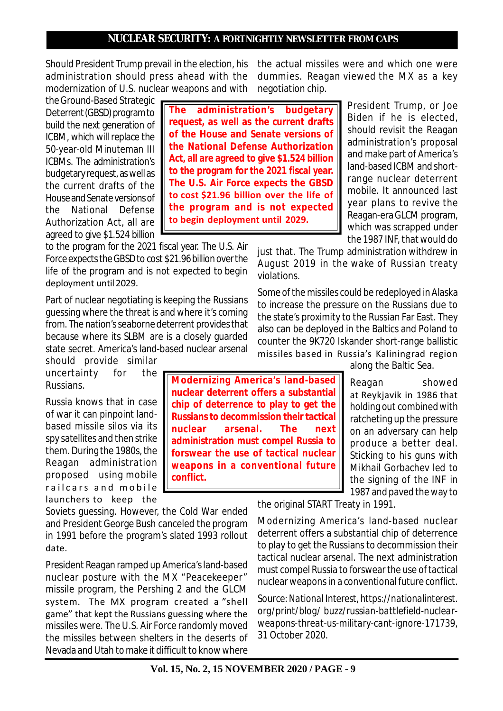Should President Trump prevail in the election, his administration should press ahead with the modernization of U.S. nuclear weapons and with

the Ground-Based Strategic Deterrent (GBSD) program to build the next generation of ICBM, which will replace the 50-year-old Minuteman III ICBMs. The administration's budgetary request, as well as the current drafts of the House and Senate versions of the National Defense Authorization Act, all are agreed to give \$1.524 billion

to the program for the 2021 fiscal year. The U.S. Air Force expects the GBSD to cost \$21.96 billion over the life of the program and is not expected to begin deployment until 2029.

Part of nuclear negotiating is keeping the Russians guessing where the threat is and where it's coming from. The nation's seaborne deterrent provides that because where its SLBM are is a closely guarded state secret. America's land-based nuclear arsenal

should provide similar uncertainty for the Russians.

Russia knows that in case of war it can pinpoint landbased missile silos via its spy satellites and then strike them. During the 1980s, the Reagan administration proposed using mobile railcars and mobile launchers to keep the

Soviets guessing. However, the Cold War ended and President George Bush canceled the program in 1991 before the program's slated 1993 rollout date.

**conflict.**

President Reagan ramped up America's land-based nuclear posture with the MX "Peacekeeper" missile program, the Pershing 2 and the GLCM system. The MX program created a "shell game" that kept the Russians guessing where the missiles were. The U.S. Air Force randomly moved the missiles between shelters in the deserts of Nevada and Utah to make it difficult to know where

the actual missiles were and which one were dummies. Reagan viewed the MX as a key negotiation chip.

> President Trump, or Joe Biden if he is elected, should revisit the Reagan administration's proposal and make part of America's land-based ICBM and shortrange nuclear deterrent mobile. It announced last year plans to revive the Reagan-era GLCM program, which was scrapped under

**The administration's budgetary request, as well as the current drafts of the House and Senate versions of the National Defense Authorization Act, all are agreed to give \$1.524 billion to the program for the 2021 fiscal year. The U.S. Air Force expects the GBSD to cost \$21.96 billion over the life of the program and is not expected to begin deployment until 2029.**

**Modernizing America's land-based nuclear deterrent offers a substantial chip of deterrence to play to get the Russians to decommission their tactical nuclear arsenal. The next administration must compel Russia to forswear the use of tactical nuclear weapons in a conventional future**

the 1987 INF, that would do just that. The Trump administration withdrew in August 2019 in the wake of Russian treaty violations.

Some of the missiles could be redeployed in Alaska to increase the pressure on the Russians due to the state's proximity to the Russian Far East. They also can be deployed in the Baltics and Poland to counter the 9K720 Iskander short-range ballistic missiles based in Russia's Kaliningrad region

along the Baltic Sea.

Reagan showed at Reykjavik in 1986 that holding out combined with ratcheting up the pressure on an adversary can help produce a better deal. Sticking to his guns with Mikhail Gorbachev led to the signing of the INF in 1987 and paved the way to

the original START Treaty in 1991.

Modernizing America's land-based nuclear deterrent offers a substantial chip of deterrence to play to get the Russians to decommission their tactical nuclear arsenal. The next administration must compel Russia to forswear the use of tactical nuclear weapons in a conventional future conflict.

*Source: National Interest, https://nationalinterest. org/print/blog/ buzz/russian-battlefield-nuclearweapons-threat-us-military-cant-ignore-171739, 31 October 2020.*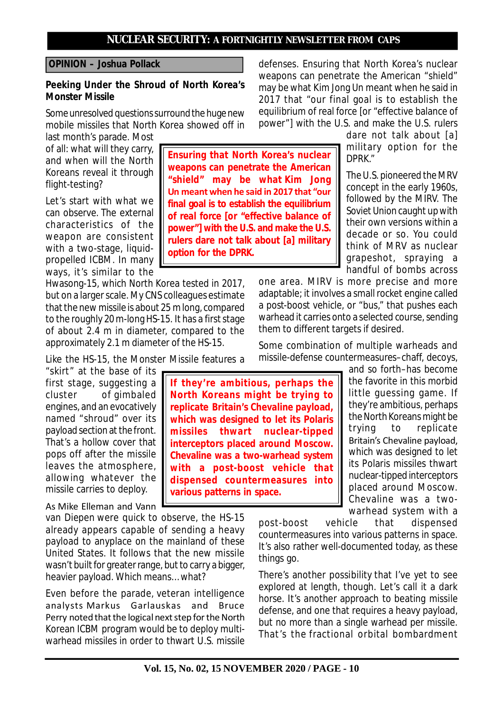**Ensuring that North Korea's nuclear weapons can penetrate the American "shield" may be what Kim Jong Un meant when he said in 2017 that "our final goal is to establish the equilibrium of real force [or "effective balance of power"] with the U.S. and make the U.S. rulers dare not talk about [a] military**

**option for the DPRK.**

### **OPINION – Joshua Pollack**

# **Peeking Under the Shroud of North Korea's Monster Missile**

Some unresolved questions surround the huge new mobile missiles that North Korea showed off in

last month's parade. Most of all: what will they carry, and when will the North Koreans reveal it through flight-testing?

Let's start with what we can observe. The external characteristics of the weapon are consistent with a two-stage, liquidpropelled ICBM. In many ways, it's similar to the

Hwasong-15, which North Korea tested in 2017, but on a larger scale. My CNS colleagues estimate that the new missile is about 25 m long, compared to the roughly 20 m-long HS-15. It has a first stage of about 2.4 m in diameter, compared to the approximately 2.1 m diameter of the HS-15.

Like the HS-15, the Monster Missile features a

"skirt" at the base of its first stage, suggesting a cluster of gimbaled engines, and an evocatively named "shroud" over its payload section at the front. That's a hollow cover that pops off after the missile leaves the atmosphere, allowing whatever the missile carries to deploy.

van Diepen were quick to observe, the HS-15 already appears capable of sending a heavy payload to anyplace on the mainland of these United States. It follows that the new missile wasn't built for greater range, but to carry a bigger, heavier payload. Which means… what?

Even before the parade, veteran intelligence analysts Markus Garlauskas and Bruce Perry noted that the logical next step for the North Korean ICBM program would be to deploy multiwarhead missiles in order to thwart U.S. missile

defenses. Ensuring that North Korea's nuclear weapons can penetrate the American "shield" may be what Kim Jong Un meant when he said in 2017 that "our final goal is to establish the equilibrium of real force [or "effective balance of power"] with the U.S. and make the U.S. rulers

dare not talk about [a] military option for the DPRK."

The U.S. pioneered the MRV concept in the early 1960s, followed by the MIRV. The Soviet Union caught up with their own versions within a decade or so. You could think of MRV as nuclear grapeshot, spraying a handful of bombs across

one area. MIRV is more precise and more adaptable; it involves a small rocket engine called a post-boost vehicle, or "bus," that pushes each warhead it carries onto a selected course, sending them to different targets if desired.

Some combination of multiple warheads and missile-defense countermeasures–chaff, decoys,

and so forth–has become the favorite in this morbid little guessing game. If they're ambitious, perhaps the North Koreans might be trying to replicate Britain's Chevaline payload, which was designed to let its Polaris missiles thwart nuclear-tipped interceptors placed around Moscow. Chevaline was a twowarhead system with a

post-boost vehicle that dispensed countermeasures into various patterns in space. It's also rather well-documented today, as these things go.

There's another possibility that I've yet to see explored at length, though. Let's call it a dark horse. It's another approach to beating missile defense, and one that requires a heavy payload, but no more than a single warhead per missile. That's the fractional orbital bombardment

As Mike Elleman and Vann

**which was designed to let its Polaris missiles thwart nuclear-tipped interceptors placed around Moscow. Chevaline was a two-warhead system with a post-boost vehicle that dispensed countermeasures into various patterns in space.**

**If they're ambitious, perhaps the North Koreans might be trying to replicate Britain's Chevaline payload,**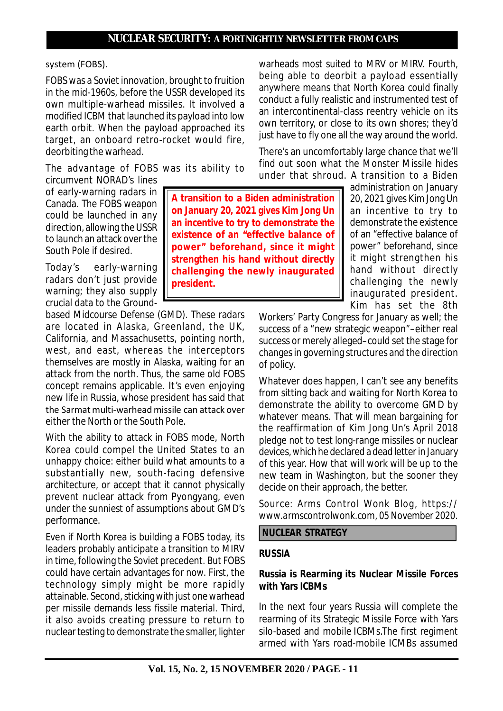**A transition to a Biden administration on January 20, 2021 gives Kim Jong Un an incentive to try to demonstrate the existence of an "effective balance of power" beforehand, since it might strengthen his hand without directly challenging the newly inaugurated**

#### system (FOBS).

FOBS was a Soviet innovation, brought to fruition in the mid-1960s, before the USSR developed its own multiple-warhead missiles. It involved a modified ICBM that launched its payload into low earth orbit. When the payload approached its target, an onboard retro-rocket would fire, deorbiting the warhead.

The advantage of FOBS was its ability to circumvent NORAD's lines

of early-warning radars in Canada. The FOBS weapon could be launched in any direction, allowing the USSR to launch an attack over the South Pole if desired.

Today's early-warning radars don't just provide warning; they also supply crucial data to the Ground-

based Midcourse Defense (GMD). These radars are located in Alaska, Greenland, the UK, California, and Massachusetts, pointing north, west, and east, whereas the interceptors themselves are mostly in Alaska, waiting for an attack from the north. Thus, the same old FOBS concept remains applicable. It's even enjoying new life in Russia, whose president has said that the Sarmat multi-warhead missile can attack over either the North or the South Pole.

**president.**

With the ability to attack in FOBS mode, North Korea could compel the United States to an unhappy choice: either build what amounts to a substantially new, south-facing defensive architecture, or accept that it cannot physically prevent nuclear attack from Pyongyang, even under the sunniest of assumptions about GMD's performance.

Even if North Korea is building a FOBS today, its leaders probably anticipate a transition to MIRV in time, following the Soviet precedent. But FOBS could have certain advantages for now. First, the technology simply might be more rapidly attainable. Second, sticking with just one warhead per missile demands less fissile material. Third, it also avoids creating pressure to return to nuclear testing to demonstrate the smaller, lighter

warheads most suited to MRV or MIRV. Fourth, being able to deorbit a payload essentially anywhere means that North Korea could finally conduct a fully realistic and instrumented test of an intercontinental-class reentry vehicle on its own territory, or close to its own shores; they'd just have to fly one all the way around the world.

There's an uncomfortably large chance that we'll find out soon what the Monster Missile hides under that shroud. A transition to a Biden

administration on January 20, 2021 gives Kim Jong Un an incentive to try to demonstrate the existence of an "effective balance of power" beforehand, since it might strengthen his hand without directly challenging the newly inaugurated president. Kim has set the 8th

Workers' Party Congress for January as well; the success of a "new strategic weapon"–either real success or merely alleged–could set the stage for changes in governing structures and the direction of policy.

Whatever does happen, I can't see any benefits from sitting back and waiting for North Korea to demonstrate the ability to overcome GMD by whatever means. That will mean bargaining for the reaffirmation of Kim Jong Un's April 2018 pledge not to test long-range missiles or nuclear devices, which he declared a dead letter in January of this year. How that will work will be up to the new team in Washington, but the sooner they decide on their approach, the better.

*Source: Arms Control Wonk Blog, https:// www.armscontrolwonk.com, 05 November 2020.*

 **NUCLEAR STRATEGY**

### **RUSSIA**

# **Russia is Rearming its Nuclear Missile Forces with Yars ICBMs**

In the next four years Russia will complete the rearming of its Strategic Missile Force with Yars silo-based and mobile ICBMs.The first regiment armed with Yars road-mobile ICMBs assumed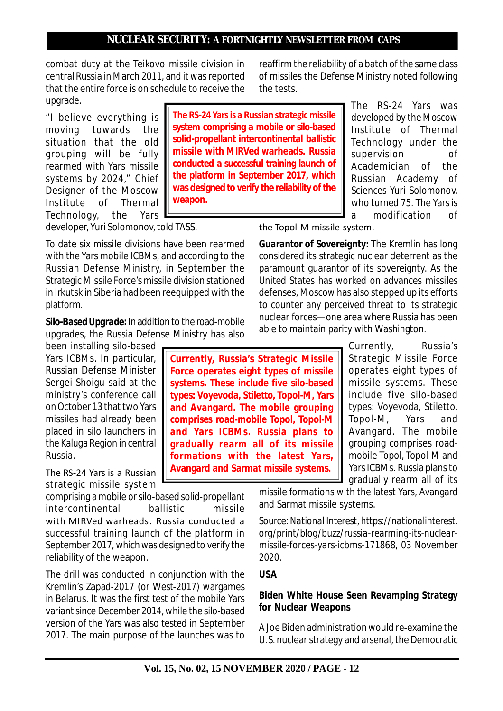combat duty at the Teikovo missile division in central Russia in March 2011, and it was reported that the entire force is on schedule to receive the upgrade.

"I believe everything is moving towards the situation that the old grouping will be fully rearmed with Yars missile systems by 2024," Chief Designer of the Moscow Institute of Thermal Technology, the Yars **The RS-24 Yars is a Russian strategic missile system comprising a mobile or silo-based solid-propellant intercontinental ballistic missile with MIRVed warheads. Russia conducted a successful training launch of the platform in September 2017, which was designed to verify the reliability of the weapon.**

**Currently, Russia's Strategic Missile Force operates eight types of missile systems. These include five silo-based types: Voyevoda, Stiletto, Topol-M, Yars and Avangard. The mobile grouping comprises road-mobile Topol, Topol-M and Yars ICBMs. Russia plans to gradually rearm all of its missile formations with the latest Yars, Avangard and Sarmat missile systems.**

reaffirm the reliability of a batch of the same class of missiles the Defense Ministry noted following the tests.

> The RS-24 Yars was developed by the Moscow Institute of Thermal Technology under the supervision of Academician of the Russian Academy of Sciences Yuri Solomonov, who turned 75. The Yars is a modification of

developer, Yuri Solomonov, told TASS.

To date six missile divisions have been rearmed with the Yars mobile ICBMs, and according to the Russian Defense Ministry, in September the Strategic Missile Force's missile division stationed in Irkutsk in Siberia had been reequipped with the platform.

*Silo-Based Upgrade:* In addition to the road-mobile upgrades, the Russia Defense Ministry has also

been installing silo-based Yars ICBMs. In particular, Russian Defense Minister Sergei Shoigu said at the ministry's conference call on October 13 that two Yars missiles had already been placed in silo launchers in the Kaluga Region in central Russia.

The RS-24 Yars is a Russian strategic missile system

comprising a mobile or silo-based solid-propellant intercontinental ballistic missile with MIRVed warheads. Russia conducted a successful training launch of the platform in September 2017, which was designed to verify the reliability of the weapon.

The drill was conducted in conjunction with the Kremlin's Zapad-2017 (or West-2017) wargames in Belarus. It was the first test of the mobile Yars variant since December 2014, while the silo-based version of the Yars was also tested in September 2017. The main purpose of the launches was to the Topol-M missile system.

*Guarantor of Sovereignty:* The Kremlin has long considered its strategic nuclear deterrent as the paramount guarantor of its sovereignty. As the United States has worked on advances missiles defenses, Moscow has also stepped up its efforts to counter any perceived threat to its strategic nuclear forces—one area where Russia has been able to maintain parity with Washington.

> Currently, Russia's Strategic Missile Force operates eight types of missile systems. These include five silo-based types: Voyevoda, Stiletto, Topol-M, Yars and Avangard. The mobile grouping comprises roadmobile Topol, Topol-M and Yars ICBMs. Russia plans to gradually rearm all of its

missile formations with the latest Yars, Avangard and Sarmat missile systems.

*Source: National Interest, https://nationalinterest. org/print/blog/buzz/russia-rearming-its-nuclearmissile-forces-yars-icbms-171868, 03 November 2020.*

# **USA**

# **Biden White House Seen Revamping Strategy for Nuclear Weapons**

A Joe Biden administration would re-examine the U.S. nuclear strategy and arsenal, the Democratic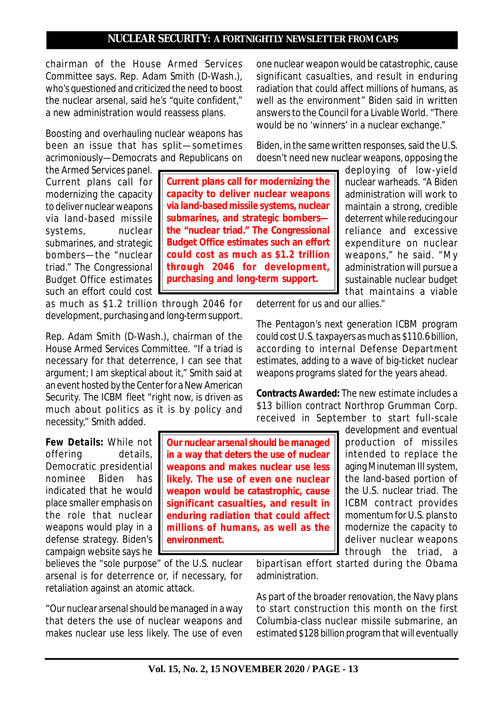**Current plans call for modernizing the capacity to deliver nuclear weapons via land-based missile systems, nuclear submarines, and strategic bombers the "nuclear triad." The Congressional Budget Office estimates such an effort could cost as much as \$1.2 trillion through 2046 for development, purchasing and long-term support.**

chairman of the House Armed Services Committee says. Rep. Adam Smith (D-Wash.), who's questioned and criticized the need to boost the nuclear arsenal, said he's "quite confident," a new administration would reassess plans.

Boosting and overhauling nuclear weapons has been an issue that has split—sometimes acrimoniously—Democrats and Republicans on

the Armed Services panel. Current plans call for modernizing the capacity to deliver nuclear weapons via land-based missile systems, nuclear submarines, and strategic bombers—the "nuclear triad." The Congressional Budget Office estimates such an effort could cost

as much as \$1.2 trillion through 2046 for development, purchasing and long-term support.

Rep. Adam Smith (D-Wash.), chairman of the House Armed Services Committee. "If a triad is necessary for that deterrence, I can see that argument; I am skeptical about it," Smith said at an event hosted by the Center for a New American Security. The ICBM fleet "right now, is driven as much about politics as it is by policy and necessity," Smith added.

*Few Details:* While not offering details, Democratic presidential nominee Biden has indicated that he would place smaller emphasis on the role that nuclear weapons would play in a defense strategy. Biden's campaign website says he

believes the "sole purpose" of the U.S. nuclear arsenal is for deterrence or, if necessary, for retaliation against an atomic attack.

"Our nuclear arsenal should be managed in a way that deters the use of nuclear weapons and makes nuclear use less likely. The use of even

**Our nuclear arsenal should be managed in a way that deters the use of nuclear weapons and makes nuclear use less likely. The use of even one nuclear weapon would be catastrophic, cause significant casualties, and result in enduring radiation that could affect millions of humans, as well as the environment.**

one nuclear weapon would be catastrophic, cause significant casualties, and result in enduring radiation that could affect millions of humans, as well as the environment" Biden said in written answers to the Council for a Livable World. "There would be no 'winners' in a nuclear exchange."

Biden, in the same written responses, said the U.S. doesn't need new nuclear weapons, opposing the

> deploying of low-yield nuclear warheads. "A Biden administration will work to maintain a strong, credible deterrent while reducing our reliance and excessive expenditure on nuclear weapons," he said. "My administration will pursue a sustainable nuclear budget that maintains a viable

deterrent for us and our allies."

The Pentagon's next generation ICBM program could cost U.S. taxpayers as much as \$110.6 billion, according to internal Defense Department estimates, adding to a wave of big-ticket nuclear weapons programs slated for the years ahead.

*Contracts Awarded:* The new estimate includes a \$13 billion contract Northrop Grumman Corp. received in September to start full-scale

> development and eventual production of missiles intended to replace the aging Minuteman III system, the land-based portion of the U.S. nuclear triad. The ICBM contract provides momentum for U.S. plans to modernize the capacity to deliver nuclear weapons through the triad, a

bipartisan effort started during the Obama administration.

As part of the broader renovation, the Navy plans to start construction this month on the first Columbia-class nuclear missile submarine, an estimated \$128 billion program that will eventually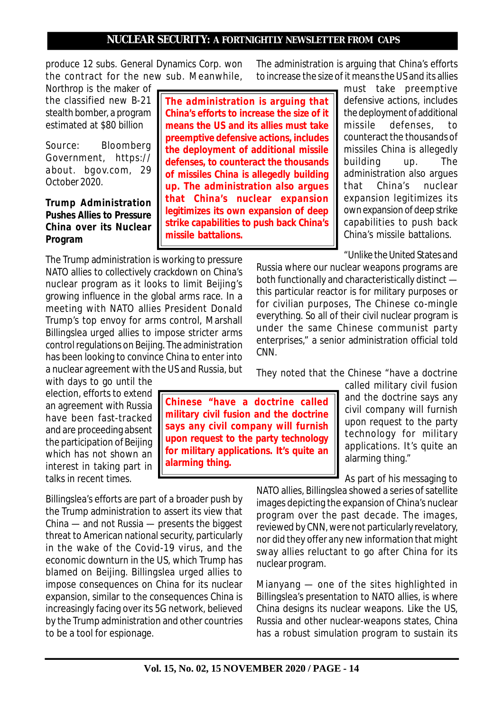produce 12 subs. General Dynamics Corp. won the contract for the new sub. Meanwhile,

Northrop is the maker of the classified new B-21 stealth bomber, a program estimated at \$80 billion

*Source: Bloomberg Government, https:// about. bgov.com, 29 October 2020.*

### **Trump Administration Pushes Allies to Pressure China over its Nuclear Program**

**The administration is arguing that China's efforts to increase the size of it means the US and its allies must take preemptive defensive actions, includes the deployment of additional missile defenses, to counteract the thousands of missiles China is allegedly building up. The administration also argues that China's nuclear expansion legitimizes its own expansion of deep strike capabilities to push back China's missile battalions.**

The Trump administration is working to pressure NATO allies to collectively crackdown on China's nuclear program as it looks to limit Beijing's growing influence in the global arms race. In a meeting with NATO allies President Donald Trump's top envoy for arms control, Marshall Billingslea urged allies to impose stricter arms control regulations on Beijing. The administration has been looking to convince China to enter into a nuclear agreement with the US and Russia, but

with days to go until the election, efforts to extend an agreement with Russia have been fast-tracked and are proceeding absent the participation of Beijing which has not shown an interest in taking part in talks in recent times.

Billingslea's efforts are part of a broader push by the Trump administration to assert its view that China — and not Russia — presents the biggest threat to American national security, particularly in the wake of the Covid-19 virus, and the economic downturn in the US, which Trump has blamed on Beijing. Billingslea urged allies to impose consequences on China for its nuclear expansion, similar to the consequences China is increasingly facing over its 5G network, believed by the Trump administration and other countries to be a tool for espionage.

**Chinese "have a doctrine called military civil fusion and the doctrine says any civil company will furnish upon request to the party technology for military applications. It's quite an alarming thing.**

The administration is arguing that China's efforts to increase the size of it means the US and its allies

must take preemptive defensive actions, includes the deployment of additional missile defenses, to counteract the thousands of missiles China is allegedly building up. The administration also argues that China's nuclear expansion legitimizes its own expansion of deep strike capabilities to push back China's missile battalions.

"Unlike the United States and

Russia where our nuclear weapons programs are both functionally and characteristically distinct this particular reactor is for military purposes or for civilian purposes, The Chinese co-mingle everything. So all of their civil nuclear program is under the same Chinese communist party enterprises," a senior administration official told CNN.

They noted that the Chinese "have a doctrine

called military civil fusion and the doctrine says any civil company will furnish upon request to the party technology for military applications. It's quite an alarming thing."

As part of his messaging to

NATO allies, Billingslea showed a series of satellite images depicting the expansion of China's nuclear program over the past decade. The images, reviewed by CNN, were not particularly revelatory, nor did they offer any new information that might sway allies reluctant to go after China for its nuclear program.

Mianyang — one of the sites highlighted in Billingslea's presentation to NATO allies, is where China designs its nuclear weapons. Like the US, Russia and other nuclear-weapons states, China has a robust simulation program to sustain its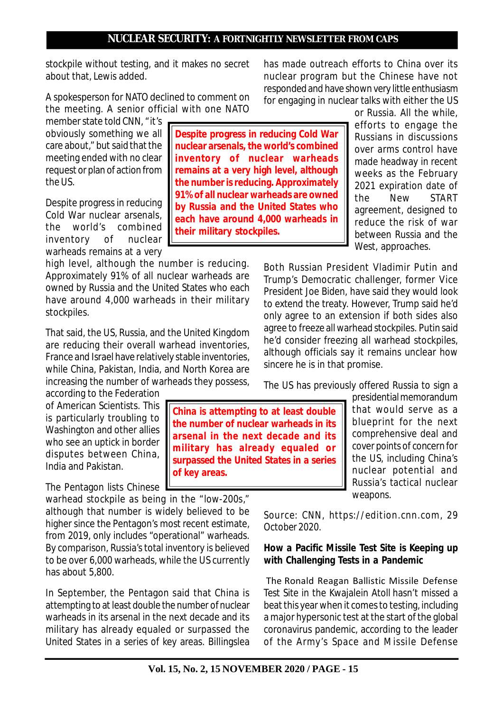**China is attempting to at least double the number of nuclear warheads in its arsenal in the next decade and its**

India and Pakistan. **surpassed the United States in a series**

warhead stockpile as being in the "low-200s," although that number is widely believed to be higher since the Pentagon's most recent estimate, from 2019, only includes "operational" warheads. By comparison, Russia's total inventory is believed to be over 6,000 warheads, while the US currently has about 5,800.

In September, the Pentagon said that China is attempting to at least double the number of nuclear warheads in its arsenal in the next decade and its military has already equaled or surpassed the United States in a series of key areas. Billingslea

**Vol. 15, No. 2, 15 NOVEMBER 2020 / PAGE - 15**

# **NUCLEAR SECURITY: A FORTNIGHTLY NEWSLETTER FROM CAPS**

has made outreach efforts to China over its nuclear program but the Chinese have not responded and have shown very little enthusiasm for engaging in nuclear talks with either the US

or Russia. All the while, efforts to engage the Russians in discussions over arms control have made headway in recent weeks as the February 2021 expiration date of the New START agreement, designed to reduce the risk of war between Russia and the West, approaches. **Despite progress in reducing Cold War nuclear arsenals, the world's combined inventory of nuclear warheads remains at a very high level, although**

> Both Russian President Vladimir Putin and Trump's Democratic challenger, former Vice President Joe Biden, have said they would look to extend the treaty. However, Trump said he'd only agree to an extension if both sides also agree to freeze all warhead stockpiles. Putin said he'd consider freezing all warhead stockpiles, although officials say it remains unclear how sincere he is in that promise.

The US has previously offered Russia to sign a

presidential memorandum that would serve as a blueprint for the next comprehensive deal and cover points of concern for the US, including China's nuclear potential and Russia's tactical nuclear weapons.

*Source: CNN, https://edition.cnn.com, 29 October 2020.*

# **How a Pacific Missile Test Site is Keeping up with Challenging Tests in a Pandemic**

 The Ronald Reagan Ballistic Missile Defense Test Site in the Kwajalein Atoll hasn't missed a beat this year when it comes to testing, including a major hypersonic test at the start of the global coronavirus pandemic, according to the leader of the Army's Space and Missile Defense

the US. Despite progress in reducing Cold War nuclear arsenals,<br>the world's combined the world's combined inventory of nuclear **the number is reducing. Approximately 91% of all nuclear warheads are owned by Russia and the United States who each have around 4,000 warheads in their military stockpiles.**

about that, Lewis added.

member state told CNN, "it's obviously something we all care about," but said that the meeting ended with no clear request or plan of action from

warheads remains at a very high level, although the number is reducing. Approximately 91% of all nuclear warheads are owned by Russia and the United States who each have around 4,000 warheads in their military stockpiles.

stockpile without testing, and it makes no secret

A spokesperson for NATO declined to comment on the meeting. A senior official with one NATO

That said, the US, Russia, and the United Kingdom are reducing their overall warhead inventories, France and Israel have relatively stable inventories, while China, Pakistan, India, and North Korea are increasing the number of warheads they possess,

according to the Federation of American Scientists. This is particularly troubling to Washington and other allies who see an uptick in border disputes between China,

The Pentagon lists Chinese

**of key areas.**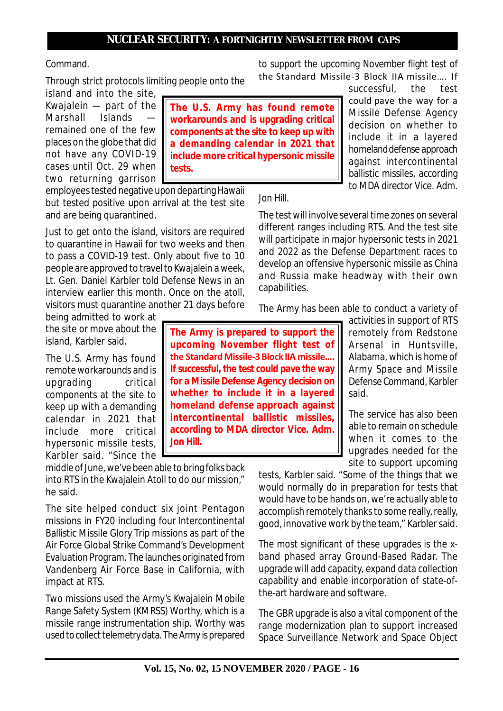**The U.S. Army has found remote workarounds and is upgrading critical components at the site to keep up with a demanding calendar in 2021 that include more critical hypersonic missile**

#### Command.

Through strict protocols limiting people onto the

island and into the site, Kwajalein — part of the Marshall — Islands remained one of the few places on the globe that did not have any COVID-19 cases until Oct. 29 when two returning garrison

employees tested negative upon departing Hawaii but tested positive upon arrival at the test site and are being quarantined.

**tests.**

Just to get onto the island, visitors are required to quarantine in Hawaii for two weeks and then to pass a COVID-19 test. Only about five to 10 people are approved to travel to Kwajalein a week, Lt. Gen. Daniel Karbler told Defense News in an interview earlier this month. Once on the atoll, visitors must quarantine another 21 days before

being admitted to work at the site or move about the island, Karbler said.

The U.S. Army has found remote workarounds and is upgrading critical components at the site to keep up with a demanding calendar in 2021 that include more critical hypersonic missile tests, Karbler said. "Since the

middle of June, we've been able to bring folks back into RTS in the Kwajalein Atoll to do our mission," he said.

The site helped conduct six joint Pentagon missions in FY20 including four Intercontinental Ballistic Missile Glory Trip missions as part of the Air Force Global Strike Command's Development Evaluation Program. The launches originated from Vandenberg Air Force Base in California, with impact at RTS.

Two missions used the Army's Kwajalein Mobile Range Safety System (KMRSS) Worthy, which is a missile range instrumentation ship. Worthy was used to collect telemetry data. The Army is prepared to support the upcoming November flight test of the Standard Missile-3 Block IIA missile…. If

> successful, the test could pave the way for a Missile Defense Agency decision on whether to include it in a layered homeland defense approach against intercontinental ballistic missiles, according to MDA director Vice. Adm.

Jon Hill.

The test will involve several time zones on several different ranges including RTS. And the test site will participate in major hypersonic tests in 2021 and 2022 as the Defense Department races to develop an offensive hypersonic missile as China and Russia make headway with their own capabilities.

The Army has been able to conduct a variety of

**The Army is prepared to support the upcoming November flight test of the Standard Missile-3 Block IIA missile…. If successful, the test could pave the way for a Missile Defense Agency decision on whether to include it in a layered homeland defense approach against intercontinental ballistic missiles, according to MDA director Vice. Adm. Jon Hill.**

activities in support of RTS remotely from Redstone Arsenal in Huntsville, Alabama, which is home of Army Space and Missile Defense Command, Karbler said.

The service has also been able to remain on schedule when it comes to the upgrades needed for the site to support upcoming

tests, Karbler said. "Some of the things that we would normally do in preparation for tests that would have to be hands on, we're actually able to accomplish remotely thanks to some really, really, good, innovative work by the team," Karbler said.

The most significant of these upgrades is the xband phased array Ground-Based Radar. The upgrade will add capacity, expand data collection capability and enable incorporation of state-ofthe-art hardware and software.

The GBR upgrade is also a vital component of the range modernization plan to support increased Space Surveillance Network and Space Object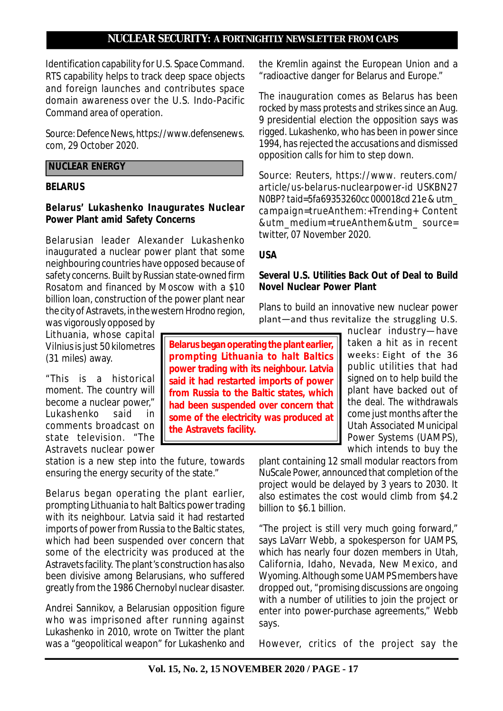Identification capability for U.S. Space Command. RTS capability helps to track deep space objects and foreign launches and contributes space domain awareness over the U.S. Indo-Pacific Command area of operation.

*Source: Defence News, https://www.defensenews. com, 29 October 2020.*

# **NUCLEAR ENERGY**

#### **BELARUS**

# **Belarus' Lukashenko Inaugurates Nuclear Power Plant amid Safety Concerns**

Belarusian leader Alexander Lukashenko inaugurated a nuclear power plant that some neighbouring countries have opposed because of safety concerns. Built by Russian state-owned firm Rosatom and financed by Moscow with a \$10 billion loan, construction of the power plant near the city of Astravets, in the western Hrodno region,

was vigorously opposed by Lithuania, whose capital Vilnius is just 50 kilometres (31 miles) away.

"This is a historical moment. The country will become a nuclear power," Lukashenko said in comments broadcast on state television. "The Astravets nuclear power

station is a new step into the future, towards ensuring the energy security of the state."

Belarus began operating the plant earlier, prompting Lithuania to halt Baltics power trading with its neighbour. Latvia said it had restarted imports of power from Russia to the Baltic states, which had been suspended over concern that some of the electricity was produced at the Astravets facility. The plant's construction has also been divisive among Belarusians, who suffered greatly from the 1986 Chernobyl nuclear disaster.

Andrei Sannikov, a Belarusian opposition figure who was imprisoned after running against Lukashenko in 2010, wrote on Twitter the plant was a "geopolitical weapon" for Lukashenko and the Kremlin against the European Union and a "radioactive danger for Belarus and Europe."

The inauguration comes as Belarus has been rocked by mass protests and strikes since an Aug. 9 presidential election the opposition says was rigged. Lukashenko, who has been in power since 1994, has rejected the accusations and dismissed opposition calls for him to step down.

*Source: Reuters, https://www. reuters.com/ article/us-belarus-nuclearpower-id USKBN27 N0BP? taid=5fa69353260cc 000018cd 21e & utm\_ campaign=trueAnthem:+Trending+ Content &utm\_medium=trueAnthem&utm\_ source= twitter, 07 November 2020.*

# **USA**

## **Several U.S. Utilities Back Out of Deal to Build Novel Nuclear Power Plant**

Plans to build an innovative new nuclear power plant—and thus revitalize the struggling U.S.

**Belarus began operating the plant earlier, prompting Lithuania to halt Baltics power trading with its neighbour. Latvia said it had restarted imports of power from Russia to the Baltic states, which had been suspended over concern that some of the electricity was produced at the Astravets facility.**

nuclear industry—have taken a hit as in recent weeks: Eight of the 36 public utilities that had signed on to help build the plant have backed out of the deal. The withdrawals come just months after the Utah Associated Municipal Power Systems (UAMPS), which intends to buy the

plant containing 12 small modular reactors from NuScale Power, announced that completion of the project would be delayed by 3 years to 2030. It also estimates the cost would climb from \$4.2 billion to \$6.1 billion.

"The project is still very much going forward," says LaVarr Webb, a spokesperson for UAMPS, which has nearly four dozen members in Utah. California, Idaho, Nevada, New Mexico, and Wyoming. Although some UAMPS members have dropped out, "promising discussions are ongoing with a number of utilities to join the project or enter into power-purchase agreements," Webb says.

However, critics of the project say the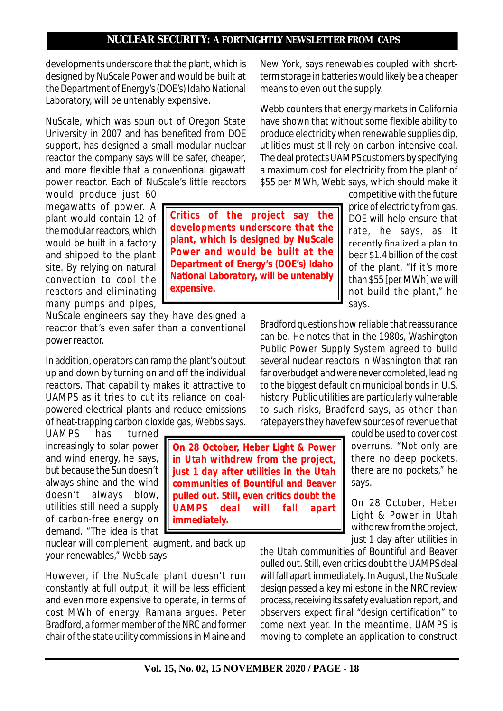**Critics of the project say the developments underscore that the plant, which is designed by NuScale Power and would be built at the Department of Energy's (DOE's) Idaho National Laboratory, will be untenably**

developments underscore that the plant, which is designed by NuScale Power and would be built at the Department of Energy's (DOE's) Idaho National Laboratory, will be untenably expensive.

NuScale, which was spun out of Oregon State University in 2007 and has benefited from DOE support, has designed a small modular nuclear reactor the company says will be safer, cheaper, and more flexible that a conventional gigawatt power reactor. Each of NuScale's little reactors

would produce just 60 megawatts of power. A plant would contain 12 of the modular reactors, which would be built in a factory and shipped to the plant site. By relying on natural convection to cool the reactors and eliminating many pumps and pipes,

NuScale engineers say they have designed a reactor that's even safer than a conventional power reactor.

**expensive.**

In addition, operators can ramp the plant's output up and down by turning on and off the individual reactors. That capability makes it attractive to UAMPS as it tries to cut its reliance on coalpowered electrical plants and reduce emissions of heat-trapping carbon dioxide gas, Webbs says.

UAMPS has turned increasingly to solar power and wind energy, he says, but because the Sun doesn't always shine and the wind doesn't always blow, utilities still need a supply of carbon-free energy on demand. "The idea is that

nuclear will complement, augment, and back up your renewables," Webb says.

However, if the NuScale plant doesn't run constantly at full output, it will be less efficient and even more expensive to operate, in terms of cost MWh of energy, Ramana argues. Peter Bradford, a former member of the NRC and former chair of the state utility commissions in Maine and New York, says renewables coupled with shortterm storage in batteries would likely be a cheaper means to even out the supply.

Webb counters that energy markets in California have shown that without some flexible ability to produce electricity when renewable supplies dip, utilities must still rely on carbon-intensive coal. The deal protects UAMPS customers by specifying a maximum cost for electricity from the plant of \$55 per MWh, Webb says, which should make it

> competitive with the future price of electricity from gas. DOE will help ensure that rate, he says, as it recently finalized a plan to bear \$1.4 billion of the cost of the plant. "If it's more than \$55 [per MWh] we will not build the plant," he says.

Bradford questions how reliable that reassurance can be. He notes that in the 1980s, Washington Public Power Supply System agreed to build several nuclear reactors in Washington that ran far overbudget and were never completed, leading to the biggest default on municipal bonds in U.S. history. Public utilities are particularly vulnerable to such risks, Bradford says, as other than ratepayers they have few sources of revenue that

> could be used to cover cost overruns. "Not only are there no deep pockets, there are no pockets," he says.

On 28 October, Heber Light & Power in Utah withdrew from the project, just 1 day after utilities in

the Utah communities of Bountiful and Beaver pulled out. Still, even critics doubt the UAMPS deal will fall apart immediately. In August, the NuScale design passed a key milestone in the NRC review process, receiving its safety evaluation report, and observers expect final "design certification" to come next year. In the meantime, UAMPS is moving to complete an application to construct

**On 28 October, Heber Light & Power in Utah withdrew from the project, just 1 day after utilities in the Utah communities of Bountiful and Beaver pulled out. Still, even critics doubt the UAMPS deal will fall apart immediately.**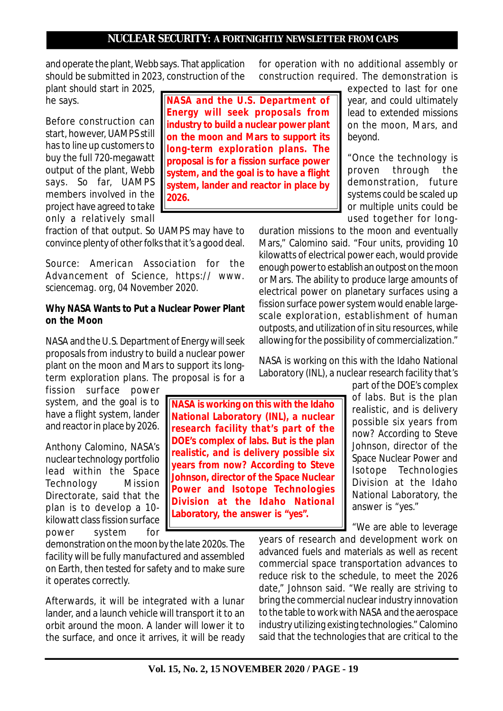**NASA and the U.S. Department of Energy will seek proposals from industry to build a nuclear power plant on the moon and Mars to support its long-term exploration plans. The proposal is for a fission surface power system, and the goal is to have a flight system, lander and reactor in place by**

and operate the plant, Webb says. That application should be submitted in 2023, construction of the plant should start in 2025,

he says.

Before construction can start, however, UAMPS still has to line up customers to buy the full 720-megawatt output of the plant, Webb says. So far, UAMPS members involved in the project have agreed to take only a relatively small

fraction of that output. So UAMPS may have to convince plenty of other folks that it's a good deal.

**2026.**

*Source: American Association for the Advancement of Science, https:// www. sciencemag. org, 04 November 2020.*

#### **Why NASA Wants to Put a Nuclear Power Plant on the Moon**

NASA and the U.S. Department of Energy will seek proposals from industry to build a nuclear power plant on the moon and Mars to support its longterm exploration plans. The proposal is for a

fission surface power system, and the goal is to have a flight system, lander and reactor in place by 2026.

Anthony Calomino, NASA's nuclear technology portfolio lead within the Space Technology Mission Directorate, said that the plan is to develop a 10 kilowatt class fission surface power system for

demonstration on the moon by the late 2020s. The facility will be fully manufactured and assembled on Earth, then tested for safety and to make sure it operates correctly.

Afterwards, it will be integrated with a lunar lander, and a launch vehicle will transport it to an orbit around the moon. A lander will lower it to the surface, and once it arrives, it will be ready

**National Laboratory (INL), a nuclear research facility that's part of the DOE's complex of labs. But is the plan realistic, and is delivery possible six years from now? According to Steve Johnson, director of the Space Nuclear Power and Isotope Technologies Division at the Idaho National Laboratory, the answer is "yes".**

for operation with no additional assembly or construction required. The demonstration is

> expected to last for one year, and could ultimately lead to extended missions on the moon, Mars, and beyond.

> "Once the technology is proven through the demonstration, future systems could be scaled up or multiple units could be used together for long-

duration missions to the moon and eventually Mars," Calomino said. "Four units, providing 10 kilowatts of electrical power each, would provide enough power to establish an outpost on the moon or Mars. The ability to produce large amounts of electrical power on planetary surfaces using a fission surface power system would enable largescale exploration, establishment of human outposts, and utilization of in situ resources, while allowing for the possibility of commercialization."

NASA is working on this with the Idaho National Laboratory (INL), a nuclear research facility that's

> part of the DOE's complex of labs. But is the plan realistic, and is delivery possible six years from now? According to Steve Johnson, director of the Space Nuclear Power and Isotope Technologies Division at the Idaho National Laboratory, the answer is "yes."

"We are able to leverage

years of research and development work on advanced fuels and materials as well as recent commercial space transportation advances to reduce risk to the schedule, to meet the 2026 date," Johnson said. "We really are striving to bring the commercial nuclear industry innovation to the table to work with NASA and the aerospace industry utilizing existing technologies." Calomino said that the technologies that are critical to the

**NASA is working on this with the Idaho**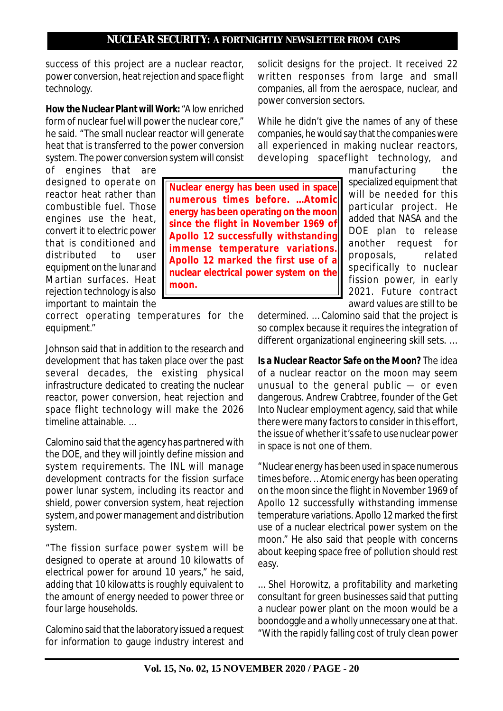**Nuclear energy has been used in space numerous times before. …Atomic energy has been operating on the moon since the flight in November 1969 of Apollo 12 successfully withstanding immense temperature variations. Apollo 12 marked the first use of a nuclear electrical power system on the**

success of this project are a nuclear reactor, power conversion, heat rejection and space flight technology.

*How the Nuclear Plant will Work:* "A low enriched form of nuclear fuel will power the nuclear core," he said. "The small nuclear reactor will generate heat that is transferred to the power conversion system. The power conversion system will consist

of engines that are designed to operate on reactor heat rather than combustible fuel. Those engines use the heat, convert it to electric power that is conditioned and distributed to user equipment on the lunar and Martian surfaces. Heat rejection technology is also important to maintain the

correct operating temperatures for the equipment."

**moon.**

Johnson said that in addition to the research and development that has taken place over the past several decades, the existing physical infrastructure dedicated to creating the nuclear reactor, power conversion, heat rejection and space flight technology will make the 2026 timeline attainable. …

Calomino said that the agency has partnered with the DOE, and they will jointly define mission and system requirements. The INL will manage development contracts for the fission surface power lunar system, including its reactor and shield, power conversion system, heat rejection system, and power management and distribution system.

"The fission surface power system will be designed to operate at around 10 kilowatts of electrical power for around 10 years," he said, adding that 10 kilowatts is roughly equivalent to the amount of energy needed to power three or four large households.

Calomino said that the laboratory issued a request for information to gauge industry interest and solicit designs for the project. It received 22 written responses from large and small companies, all from the aerospace, nuclear, and power conversion sectors.

While he didn't give the names of any of these companies, he would say that the companies were all experienced in making nuclear reactors, developing spaceflight technology, and

> manufacturing the specialized equipment that will be needed for this particular project. He added that NASA and the DOE plan to release another request for proposals, related specifically to nuclear fission power, in early 2021. Future contract award values are still to be

determined. … Calomino said that the project is so complex because it requires the integration of different organizational engineering skill sets. …

*Is a Nuclear Reactor Safe on the Moon?* The idea of a nuclear reactor on the moon may seem unusual to the general public — or even dangerous. Andrew Crabtree, founder of the Get Into Nuclear employment agency, said that while there were many factors to consider in this effort, the issue of whether it's safe to use nuclear power in space is not one of them.

"Nuclear energy has been used in space numerous times before. …Atomic energy has been operating on the moon since the flight in November 1969 of Apollo 12 successfully withstanding immense temperature variations. Apollo 12 marked the first use of a nuclear electrical power system on the moon." He also said that people with concerns about keeping space free of pollution should rest easy.

… Shel Horowitz, a profitability and marketing consultant for green businesses said that putting a nuclear power plant on the moon would be a boondoggle and a wholly unnecessary one at that. "With the rapidly falling cost of truly clean power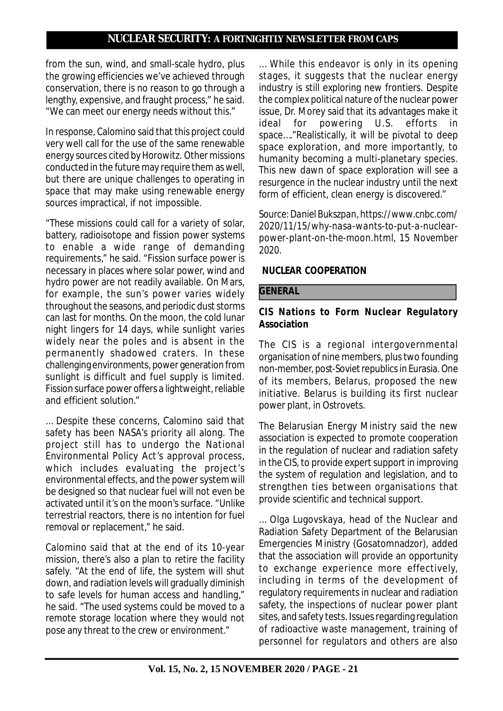from the sun, wind, and small-scale hydro, plus the growing efficiencies we've achieved through conservation, there is no reason to go through a lengthy, expensive, and fraught process," he said. "We can meet our energy needs without this."

In response, Calomino said that this project could very well call for the use of the same renewable energy sources cited by Horowitz. Other missions conducted in the future may require them as well, but there are unique challenges to operating in space that may make using renewable energy sources impractical, if not impossible.

"These missions could call for a variety of solar, battery, radioisotope and fission power systems to enable a wide range of demanding requirements," he said. "Fission surface power is necessary in places where solar power, wind and hydro power are not readily available. On Mars, for example, the sun's power varies widely throughout the seasons, and periodic dust storms can last for months. On the moon, the cold lunar night lingers for 14 days, while sunlight varies widely near the poles and is absent in the permanently shadowed craters. In these challenging environments, power generation from sunlight is difficult and fuel supply is limited. Fission surface power offers a lightweight, reliable and efficient solution."

… Despite these concerns, Calomino said that safety has been NASA's priority all along. The project still has to undergo the National Environmental Policy Act's approval process, which includes evaluating the project's environmental effects, and the power system will be designed so that nuclear fuel will not even be activated until it's on the moon's surface. "Unlike terrestrial reactors, there is no intention for fuel removal or replacement," he said.

Calomino said that at the end of its 10-year mission, there's also a plan to retire the facility safely. "At the end of life, the system will shut down, and radiation levels will gradually diminish to safe levels for human access and handling," he said. "The used systems could be moved to a remote storage location where they would not pose any threat to the crew or environment."

… While this endeavor is only in its opening stages, it suggests that the nuclear energy industry is still exploring new frontiers. Despite the complex political nature of the nuclear power issue, Dr. Morey said that its advantages make it ideal for powering U.S. efforts in space…."Realistically, it will be pivotal to deep space exploration, and more importantly, to humanity becoming a multi-planetary species. This new dawn of space exploration will see a resurgence in the nuclear industry until the next form of efficient, clean energy is discovered."

*Source: Daniel Bukszpan, https://www.cnbc.com/ 2020/11/15/why-nasa-wants-to-put-a-nuclearpower-plant-on-the-moon.html, 15 November 2020.*

### **NUCLEAR COOPERATION**

#### **GENERAL**

### **CIS Nations to Form Nuclear Regulatory Association**

The CIS is a regional intergovernmental organisation of nine members, plus two founding non-member, post-Soviet republics in Eurasia. One of its members, Belarus, proposed the new initiative. Belarus is building its first nuclear power plant, in Ostrovets.

The Belarusian Energy Ministry said the new association is expected to promote cooperation in the regulation of nuclear and radiation safety in the CIS, to provide expert support in improving the system of regulation and legislation, and to strengthen ties between organisations that provide scientific and technical support.

… Olga Lugovskaya, head of the Nuclear and Radiation Safety Department of the Belarusian Emergencies Ministry (Gosatomnadzor), added that the association will provide an opportunity to exchange experience more effectively, including in terms of the development of regulatory requirements in nuclear and radiation safety, the inspections of nuclear power plant sites, and safety tests. Issues regarding regulation of radioactive waste management, training of personnel for regulators and others are also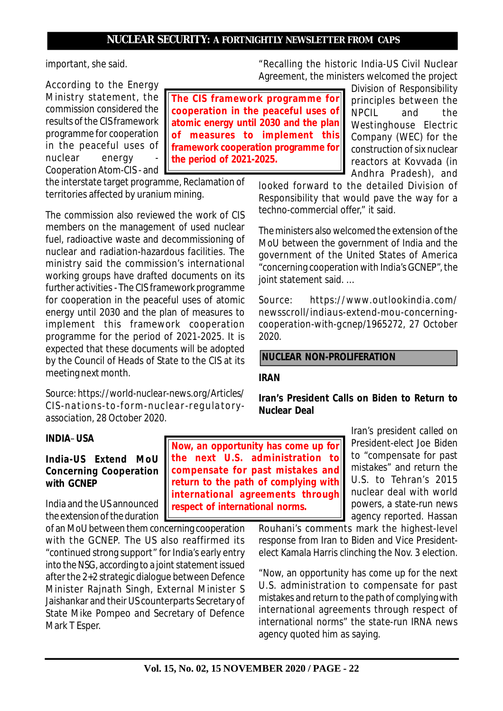important, she said.

According to the Energy Ministry statement, the commission considered the results of the CIS framework programme for cooperation in the peaceful uses of nuclear energy Cooperation Atom-CIS - and

the interstate target programme, Reclamation of territories affected by uranium mining.

The commission also reviewed the work of CIS members on the management of used nuclear fuel, radioactive waste and decommissioning of nuclear and radiation-hazardous facilities. The ministry said the commission's international working groups have drafted documents on its further activities - The CIS framework programme for cooperation in the peaceful uses of atomic energy until 2030 and the plan of measures to implement this framework cooperation programme for the period of 2021-2025. It is expected that these documents will be adopted by the Council of Heads of State to the CIS at its meeting next month.

*Source: https://world-nuclear-news.org/Articles/ CIS-nations-to-form-nuclear-regulatoryassociation, 28 October 2020.*

#### **INDIA**–**USA**

### **India-US Extend MoU Concerning Cooperation with GCNEP**

India and the US announced the extension of the duration

of an MoU between them concerning cooperation with the GCNEP. The US also reaffirmed its "continued strong support" for India's early entry into the NSG, according to a joint statement issued after the 2+2 strategic dialogue between Defence Minister Rajnath Singh, External Minister S Jaishankar and their US counterparts Secretary of State Mike Pompeo and Secretary of Defence Mark T Esper.

**The CIS framework programme for cooperation in the peaceful uses of atomic energy until 2030 and the plan of measures to implement this framework cooperation programme for the period of 2021-2025.**

"Recalling the historic India-US Civil Nuclear Agreement, the ministers welcomed the project

> Division of Responsibility principles between the NPCIL and the Westinghouse Electric Company (WEC) for the construction of six nuclear reactors at Kovvada (in Andhra Pradesh), and

looked forward to the detailed Division of Responsibility that would pave the way for a techno-commercial offer," it said.

The ministers also welcomed the extension of the MoU between the government of India and the government of the United States of America "concerning cooperation with India's GCNEP", the joint statement said. …

*Source: https://www.outlookindia.com/ newsscroll/indiaus-extend-mou-concerningcooperation-with-gcnep/1965272, 27 October 2020.*

### **NUCLEAR NON-PROLIFERATION**

#### **IRAN**

**Now, an opportunity has come up for the next U.S. administration to compensate for past mistakes and return to the path of complying with international agreements through**

**respect of international norms.**

**Iran's President Calls on Biden to Return to Nuclear Deal**

> Iran's president called on President-elect Joe Biden to "compensate for past mistakes" and return the U.S. to Tehran's 2015 nuclear deal with world powers, a state-run news agency reported. Hassan

Rouhani's comments mark the highest-level response from Iran to Biden and Vice Presidentelect Kamala Harris clinching the Nov. 3 election.

"Now, an opportunity has come up for the next U.S. administration to compensate for past mistakes and return to the path of complying with international agreements through respect of international norms" the state-run IRNA news agency quoted him as saying.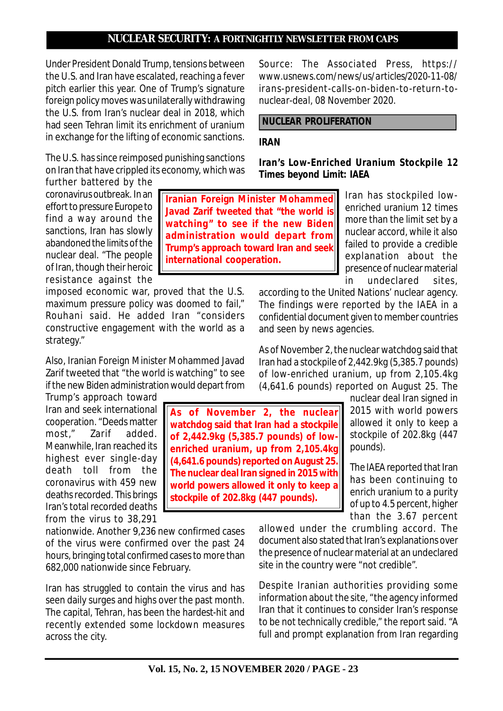Under President Donald Trump, tensions between the U.S. and Iran have escalated, reaching a fever pitch earlier this year. One of Trump's signature foreign policy moves was unilaterally withdrawing the U.S. from Iran's nuclear deal in 2018, which had seen Tehran limit its enrichment of uranium in exchange for the lifting of economic sanctions.

The U.S. has since reimposed punishing sanctions on Iran that have crippled its economy, which was

further battered by the coronavirus outbreak. In an effort to pressure Europe to find a way around the sanctions, Iran has slowly abandoned the limits of the nuclear deal. "The people of Iran, though their heroic resistance against the

imposed economic war, proved that the U.S. maximum pressure policy was doomed to fail," Rouhani said. He added Iran "considers constructive engagement with the world as a strategy."

Also, Iranian Foreign Minister Mohammed Javad Zarif tweeted that "the world is watching" to see if the new Biden administration would depart from

Trump's approach toward Iran and seek international cooperation. "Deeds matter most," Zarif added. Meanwhile, Iran reached its highest ever single-day death toll from the coronavirus with 459 new deaths recorded. This brings Iran's total recorded deaths from the virus to 38,291

nationwide. Another 9,236 new confirmed cases of the virus were confirmed over the past 24 hours, bringing total confirmed cases to more than 682,000 nationwide since February.

Iran has struggled to contain the virus and has seen daily surges and highs over the past month. The capital, Tehran, has been the hardest-hit and recently extended some lockdown measures across the city.

*Source: The Associated Press, https:// www.usnews.com/news/us/articles/2020-11-08/ irans-president-calls-on-biden-to-return-tonuclear-deal, 08 November 2020.*

# **NUCLEAR PROLIFERATION**

### **IRAN**

**Iranian Foreign Minister Mohammed Javad Zarif tweeted that "the world is watching" to see if the new Biden**

**As of November 2, the nuclear watchdog said that Iran had a stockpile of 2,442.9kg (5,385.7 pounds) of lowenriched uranium, up from 2,105.4kg (4,641.6 pounds) reported on August 25. The nuclear deal Iran signed in 2015 with world powers allowed it only to keep a stockpile of 202.8kg (447 pounds).**

**international cooperation.**

**Iran's Low-Enriched Uranium Stockpile 12 Times beyond Limit: IAEA**

Iran has stockpiled lowenriched uranium 12 times more than the limit set by a nuclear accord, while it also failed to provide a credible explanation about the presence of nuclear material in undeclared sites, **administration would depart from Trump's approach toward Iran and seek**

> according to the United Nations' nuclear agency. The findings were reported by the IAEA in a confidential document given to member countries and seen by news agencies.

> As of November 2, the nuclear watchdog said that Iran had a stockpile of 2,442.9kg (5,385.7 pounds) of low-enriched uranium, up from 2,105.4kg (4,641.6 pounds) reported on August 25. The

> > nuclear deal Iran signed in 2015 with world powers allowed it only to keep a stockpile of 202.8kg (447 pounds).

> > The IAEA reported that Iran has been continuing to enrich uranium to a purity of up to 4.5 percent, higher than the 3.67 percent

allowed under the crumbling accord. The document also stated that Iran's explanations over the presence of nuclear material at an undeclared site in the country were "not credible".

Despite Iranian authorities providing some information about the site, "the agency informed Iran that it continues to consider Iran's response to be not technically credible," the report said. "A full and prompt explanation from Iran regarding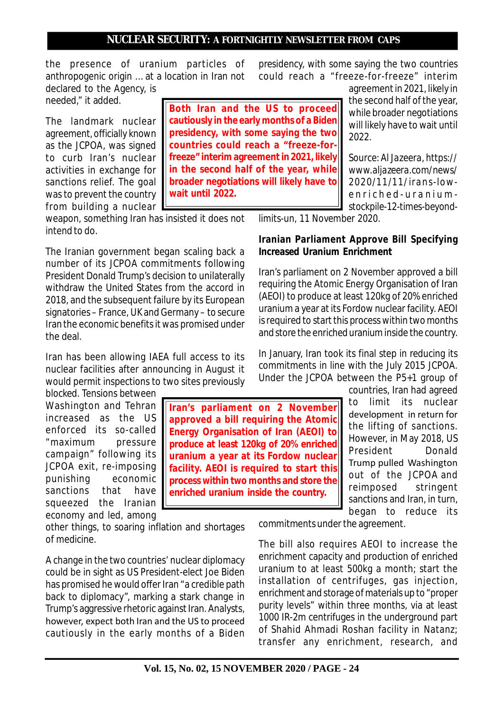the presence of uranium particles of anthropogenic origin … at a location in Iran not declared to the Agency, is

needed," it added.

The landmark nuclear agreement, officially known as the JCPOA, was signed to curb Iran's nuclear activities in exchange for sanctions relief. The goal was to prevent the country from building a nuclear **Both Iran and the US to proceed cautiously in the early months of a Biden presidency, with some saying the two countries could reach a "freeze-forfreeze" interim agreement in 2021, likely in the second half of the year, while broader negotiations will likely have to wait until 2022.**

presidency, with some saying the two countries could reach a "freeze-for-freeze" interim

> agreement in 2021, likely in the second half of the year, while broader negotiations will likely have to wait until 2022.

> *Source: Al Jazeera, https:// www.aljazeera.com/news/ 2020/11/11/irans-lowe n r i c h e d - u r a n i u m stockpile-12-times-beyond-*

weapon, something Iran has insisted it does not intend to do.

The Iranian government began scaling back a number of its JCPOA commitments following President Donald Trump's decision to unilaterally withdraw the United States from the accord in 2018, and the subsequent failure by its European signatories – France, UK and Germany – to secure Iran the economic benefits it was promised under the deal.

Iran has been allowing IAEA full access to its nuclear facilities after announcing in August it would permit inspections to two sites previously

blocked. Tensions between Washington and Tehran increased as the US enforced its so-called "maximum pressure campaign" following its JCPOA exit, re-imposing punishing economic sanctions that have squeezed the Iranian economy and led, among

other things, to soaring inflation and shortages of medicine.

A change in the two countries' nuclear diplomacy could be in sight as US President-elect Joe Biden has promised he would offer Iran "a credible path back to diplomacy", marking a stark change in Trump's aggressive rhetoric against Iran. Analysts, however, expect both Iran and the US to proceed cautiously in the early months of a Biden

**Iran's parliament on 2 November approved a bill requiring the Atomic Energy Organisation of Iran (AEOI) to produce at least 120kg of 20% enriched uranium a year at its Fordow nuclear facility. AEOI is required to start this process within two months and store the enriched uranium inside the country.**

*limits-un, 11 November 2020.*

# **Iranian Parliament Approve Bill Specifying Increased Uranium Enrichment**

Iran's parliament on 2 November approved a bill requiring the Atomic Energy Organisation of Iran (AEOI) to produce at least 120kg of 20% enriched uranium a year at its Fordow nuclear facility. AEOI is required to start this process within two months and store the enriched uranium inside the country.

In January, Iran took its final step in reducing its commitments in line with the July 2015 JCPOA. Under the JCPOA between the P5+1 group of

> countries, Iran had agreed to limit its nuclear development in return for the lifting of sanctions. However, in May 2018, US President Donald Trump pulled Washington out of the JCPOA and reimposed stringent sanctions and Iran, in turn, began to reduce its

commitments under the agreement.

The bill also requires AEOI to increase the enrichment capacity and production of enriched uranium to at least 500kg a month; start the installation of centrifuges, gas injection, enrichment and storage of materials up to "proper purity levels" within three months, via at least 1000 IR-2m centrifuges in the underground part of Shahid Ahmadi Roshan facility in Natanz; transfer any enrichment, research, and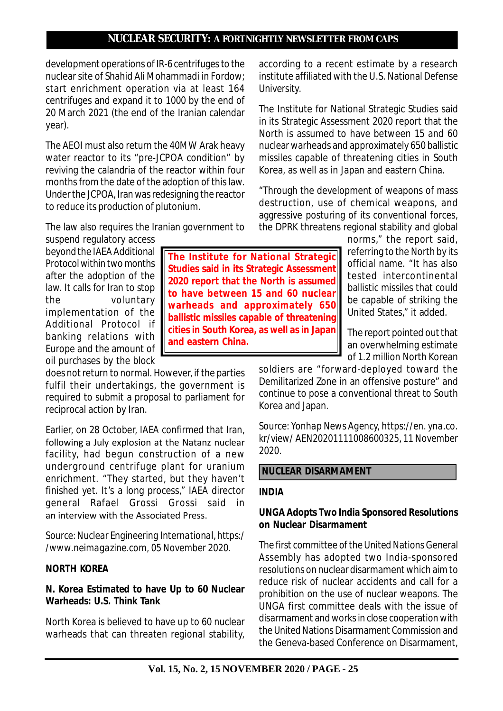development operations of IR-6 centrifuges to the nuclear site of Shahid Ali Mohammadi in Fordow; start enrichment operation via at least 164 centrifuges and expand it to 1000 by the end of 20 March 2021 (the end of the Iranian calendar year).

The AEOI must also return the 40MW Arak heavy water reactor to its "pre-JCPOA condition" by reviving the calandria of the reactor within four months from the date of the adoption of this law. Under the JCPOA, Iran was redesigning the reactor to reduce its production of plutonium.

The law also requires the Iranian government to

suspend regulatory access beyond the IAEA Additional Protocol within two months after the adoption of the law. It calls for Iran to stop the voluntary implementation of the Additional Protocol if banking relations with Europe and the amount of oil purchases by the block

does not return to normal. However, if the parties fulfil their undertakings, the government is required to submit a proposal to parliament for reciprocal action by Iran.

Earlier, on 28 October, IAEA confirmed that Iran, following a July explosion at the Natanz nuclear facility, had begun construction of a new underground centrifuge plant for uranium enrichment. "They started, but they haven't finished yet. It's a long process," IAEA director general Rafael Grossi Grossi said in an interview with the Associated Press.

*Source: Nuclear Engineering International, https:/ /www.neimagazine.com, 05 November 2020.*

### **NORTH KOREA**

### **N. Korea Estimated to have Up to 60 Nuclear Warheads: U.S. Think Tank**

North Korea is believed to have up to 60 nuclear warheads that can threaten regional stability, according to a recent estimate by a research institute affiliated with the U.S. National Defense University.

The Institute for National Strategic Studies said in its Strategic Assessment 2020 report that the North is assumed to have between 15 and 60 nuclear warheads and approximately 650 ballistic missiles capable of threatening cities in South Korea, as well as in Japan and eastern China.

"Through the development of weapons of mass destruction, use of chemical weapons, and aggressive posturing of its conventional forces, the DPRK threatens regional stability and global

> norms," the report said, referring to the North by its official name. "It has also tested intercontinental ballistic missiles that could be capable of striking the United States," it added.

The report pointed out that an overwhelming estimate of 1.2 million North Korean

soldiers are "forward-deployed toward the Demilitarized Zone in an offensive posture" and continue to pose a conventional threat to South Korea and Japan.

*Source: Yonhap News Agency, https://en. yna.co. kr/view/ AEN20201111008600325, 11 November 2020.*

#### **NUCLEAR DISARMAMENT**

### **INDIA**

### **UNGA Adopts Two India Sponsored Resolutions on Nuclear Disarmament**

The first committee of the United Nations General Assembly has adopted two India-sponsored resolutions on nuclear disarmament which aim to reduce risk of nuclear accidents and call for a prohibition on the use of nuclear weapons. The UNGA first committee deals with the issue of disarmament and works in close cooperation with the United Nations Disarmament Commission and the Geneva-based Conference on Disarmament,

**The Institute for National Strategic Studies said in its Strategic Assessment 2020 report that the North is assumed to have between 15 and 60 nuclear warheads and approximately 650 ballistic missiles capable of threatening cities in South Korea, as well as in Japan and eastern China.**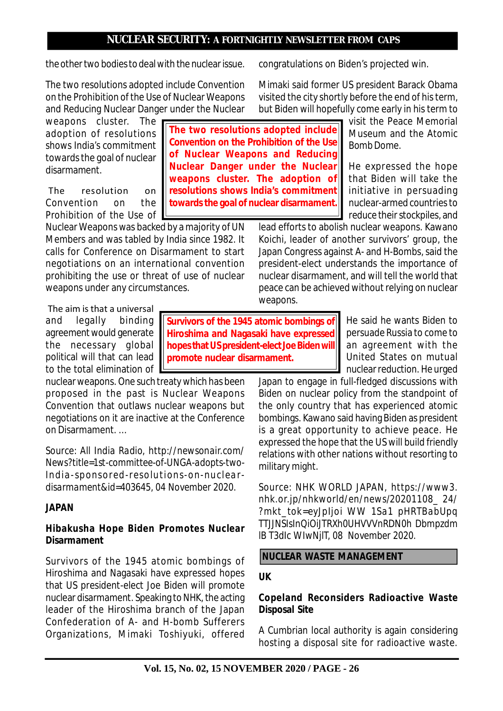**The two resolutions adopted include Convention on the Prohibition of the Use of Nuclear Weapons and Reducing Nuclear Danger under the Nuclear weapons cluster. The adoption of resolutions shows India's commitment towards the goal of nuclear disarmament.**

the other two bodies to deal with the nuclear issue.

The two resolutions adopted include Convention on the Prohibition of the Use of Nuclear Weapons and Reducing Nuclear Danger under the Nuclear

weapons cluster. The adoption of resolutions shows India's commitment towards the goal of nuclear disarmament.

 The resolution on Convention on the Prohibition of the Use of

Nuclear Weapons was backed by a majority of UN Members and was tabled by India since 1982. It calls for Conference on Disarmament to start negotiations on an international convention prohibiting the use or threat of use of nuclear weapons under any circumstances.

 The aim is that a universal and legally binding agreement would generate the necessary global political will that can lead to the total elimination of

nuclear weapons. One such treaty which has been proposed in the past is Nuclear Weapons Convention that outlaws nuclear weapons but negotiations on it are inactive at the Conference on Disarmament. …

*Source: All India Radio, http://newsonair.com/ News?title=1st-committee-of-UNGA-adopts-two-India-sponsored-resolutions-on-nucleardisarmament&id=403645, 04 November 2020.*

### **JAPAN**

# **Hibakusha Hope Biden Promotes Nuclear Disarmament**

Survivors of the 1945 atomic bombings of Hiroshima and Nagasaki have expressed hopes that US president-elect Joe Biden will promote nuclear disarmament. Speaking to NHK, the acting leader of the Hiroshima branch of the Japan Confederation of A- and H-bomb Sufferers Organizations, Mimaki Toshiyuki, offered congratulations on Biden's projected win.

Mimaki said former US president Barack Obama visited the city shortly before the end of his term, but Biden will hopefully come early in his term to

> visit the Peace Memorial Museum and the Atomic Bomb Dome.

He expressed the hope that Biden will take the initiative in persuading nuclear-armed countries to reduce their stockpiles, and

lead efforts to abolish nuclear weapons. Kawano Koichi, leader of another survivors' group, the Japan Congress against A- and H-Bombs, said the president-elect understands the importance of nuclear disarmament, and will tell the world that peace can be achieved without relying on nuclear weapons.

**Survivors of the 1945 atomic bombings of Hiroshima and Nagasaki have expressed hopes that US president-elect Joe Biden will promote nuclear disarmament.**

He said he wants Biden to persuade Russia to come to an agreement with the United States on mutual nuclear reduction. He urged

Japan to engage in full-fledged discussions with Biden on nuclear policy from the standpoint of the only country that has experienced atomic bombings. Kawano said having Biden as president is a great opportunity to achieve peace. He expressed the hope that the US will build friendly relations with other nations without resorting to military might.

*Source: NHK WORLD JAPAN, https://www3. nhk.or.jp/nhkworld/en/news/20201108\_ 24/ ?mkt\_tok=eyJpIjoi WW 1Sa1 pHRTBabUpq TTJJNSIsInQiOiJTRXh0UHVVVnRDN0h Dbmpzdm lB T3dIc WIwNjlT, 08 November 2020.*

# **NUCLEAR WASTE MANAGEMENT**

### **UK**

### **Copeland Reconsiders Radioactive Waste Disposal Site**

A Cumbrian local authority is again considering hosting a disposal site for radioactive waste.